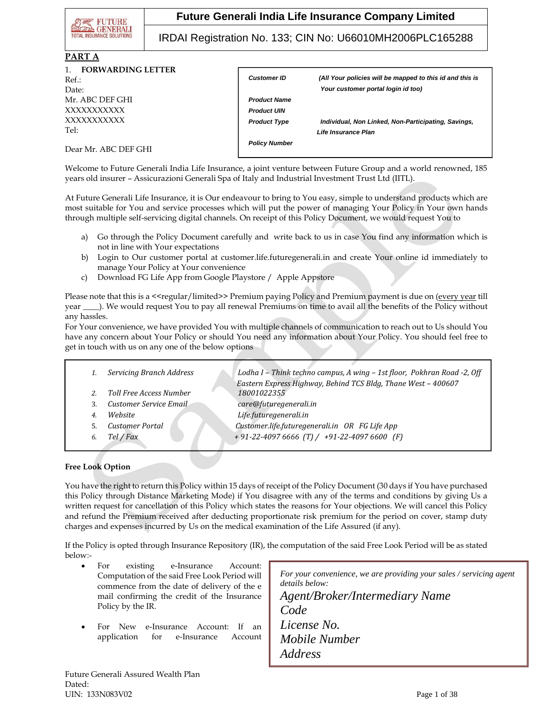

IRDAI Registration No. 133; CIN No: U66010MH2006PLC165288

#### **PART A**

| $\mathbf{1}$<br><b>FORWARDING LETTER</b><br>$Ref.$ :<br>Date: | <b>Customer ID</b>   | (All Your policies will be mapped to this id and this is<br>Your customer portal login id too) |
|---------------------------------------------------------------|----------------------|------------------------------------------------------------------------------------------------|
| Mr. ABC DEF GHI                                               | <b>Product Name</b>  |                                                                                                |
| XXXXXXXXXX                                                    | <b>Product UIN</b>   |                                                                                                |
| XXXXXXXXXX                                                    | <b>Product Type</b>  | Individual, Non Linked, Non-Participating, Savings,                                            |
| Tel:                                                          |                      | Life Insurance Plan                                                                            |
| Dear Mr. ABC DEF GHI                                          | <b>Policy Number</b> |                                                                                                |

Welcome to Future Generali India Life Insurance, a joint venture between Future Group and a world renowned, 185 years old insurer – Assicurazioni Generali Spa of Italy and Industrial Investment Trust Ltd (IITL).

At Future Generali Life Insurance, it is Our endeavour to bring to You easy, simple to understand products which are most suitable for You and service processes which will put the power of managing Your Policy in Your own hands through multiple self-servicing digital channels. On receipt of this Policy Document, we would request You to

- a) Go through the Policy Document carefully and write back to us in case You find any information which is not in line with Your expectations
- b) Login to Our customer portal at customer.life.futuregenerali.in and create Your online id immediately to manage Your Policy at Your convenience
- c) Download FG Life App from Google Playstore / Apple Appstore

Please note that this is a <<regular/limited>> Premium paying Policy and Premium payment is due on (every year till year \_\_\_\_). We would request You to pay all renewal Premiums on time to avail all the benefits of the Policy without any hassles.

For Your convenience, we have provided You with multiple channels of communication to reach out to Us should You have any concern about Your Policy or should You need any information about Your Policy. You should feel free to get in touch with us on any one of the below options

|    | <b>Servicing Branch Address</b> | Lodha I - Think techno campus, A wing - 1st floor, Pokhran Road -2, Off<br>Eastern Express Highway, Behind TCS Bldg, Thane West - 400607 |
|----|---------------------------------|------------------------------------------------------------------------------------------------------------------------------------------|
|    | <b>Toll Free Access Number</b>  | 18001022355                                                                                                                              |
| 3. | Customer Service Email          | care@futuregenerali.in                                                                                                                   |
| 4. | Website                         | Life.futuregenerali.in                                                                                                                   |
|    | Customer Portal                 | Customer.life.futuregenerali.in OR FG Life App                                                                                           |
| 6. | Tel / Fax                       | $+91-22-4097666$ (T) / $+91-22-40976600$ (F)                                                                                             |
|    |                                 |                                                                                                                                          |

### **Free Look Option**

You have the right to return this Policy within 15 days of receipt of the Policy Document (30 days if You have purchased this Policy through Distance Marketing Mode) if You disagree with any of the terms and conditions by giving Us a written request for cancellation of this Policy which states the reasons for Your objections. We will cancel this Policy and refund the Premium received after deducting proportionate risk premium for the period on cover, stamp duty charges and expenses incurred by Us on the medical examination of the Life Assured (if any).

If the Policy is opted through Insurance Repository (IR), the computation of the said Free Look Period will be as stated below:-

- For existing e-Insurance Account: Computation of the said Free Look Period will commence from the date of delivery of the e mail confirming the credit of the Insurance Policy by the IR.
- For New e-Insurance Account: If an application for e-Insurance Account

*For your convenience, we are providing your sales / servicing agent details below: Agent/Broker/Intermediary Name* 

*Code License No. Mobile Number Address*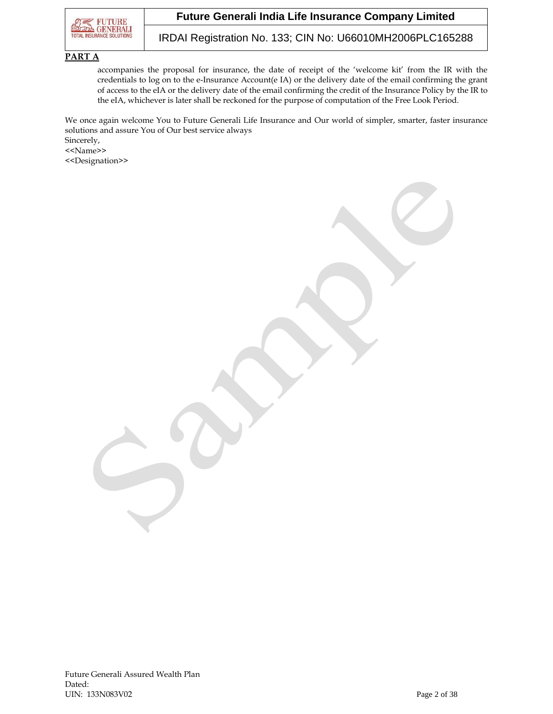

IRDAI Registration No. 133; CIN No: U66010MH2006PLC165288

### **PART A**

accompanies the proposal for insurance, the date of receipt of the 'welcome kit' from the IR with the credentials to log on to the e-Insurance Account(e IA) or the delivery date of the email confirming the grant of access to the eIA or the delivery date of the email confirming the credit of the Insurance Policy by the IR to the eIA, whichever is later shall be reckoned for the purpose of computation of the Free Look Period.

We once again welcome You to Future Generali Life Insurance and Our world of simpler, smarter, faster insurance solutions and assure You of Our best service always Sincerely,

<<Name>>

<<Designation>>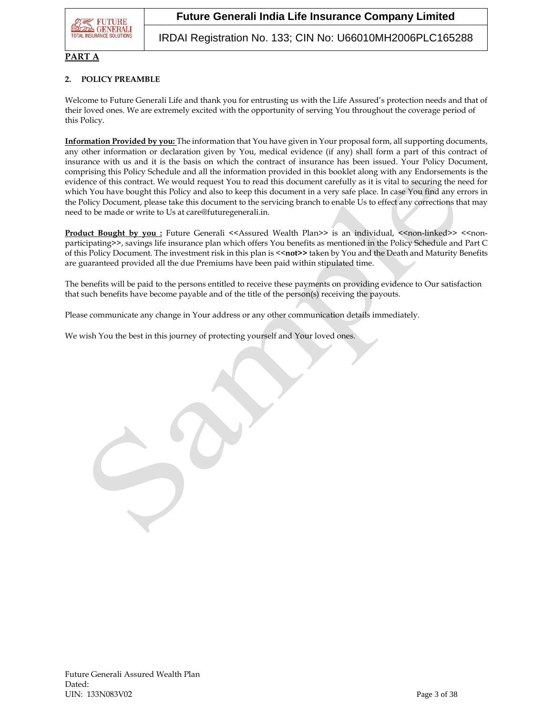

IRDAI Registration No. 133; CIN No: U66010MH2006PLC165288

#### **PART A**

### **2. POLICY PREAMBLE**

Welcome to Future Generali Life and thank you for entrusting us with the Life Assured's protection needs and that of their loved ones. We are extremely excited with the opportunity of serving You throughout the coverage period of this Policy.

**Information Provided by you:** The information that You have given in Your proposal form, all supporting documents, any other information or declaration given by You, medical evidence (if any) shall form a part of this contract of insurance with us and it is the basis on which the contract of insurance has been issued. Your Policy Document, comprising this Policy Schedule and all the information provided in this booklet along with any Endorsements is the evidence of this contract. We would request You to read this document carefully as it is vital to securing the need for which You have bought this Policy and also to keep this document in a very safe place. In case You find any errors in the Policy Document, please take this document to the servicing branch to enable Us to effect any corrections that may need to be made or write to Us at care@futuregenerali.in.

**Product Bought by you :** Future Generali <<Assured Wealth Plan>> is an individual, <<non-linked>> <<nonparticipating>>, savings life insurance plan which offers You benefits as mentioned in the Policy Schedule and Part C of this Policy Document. The investment risk in this plan is <<**not>>** taken by You and the Death and Maturity Benefits are guaranteed provided all the due Premiums have been paid within stipulated time.

The benefits will be paid to the persons entitled to receive these payments on providing evidence to Our satisfaction that such benefits have become payable and of the title of the person(s) receiving the payouts.

Please communicate any change in Your address or any other communication details immediately.

We wish You the best in this journey of protecting yourself and Your loved ones.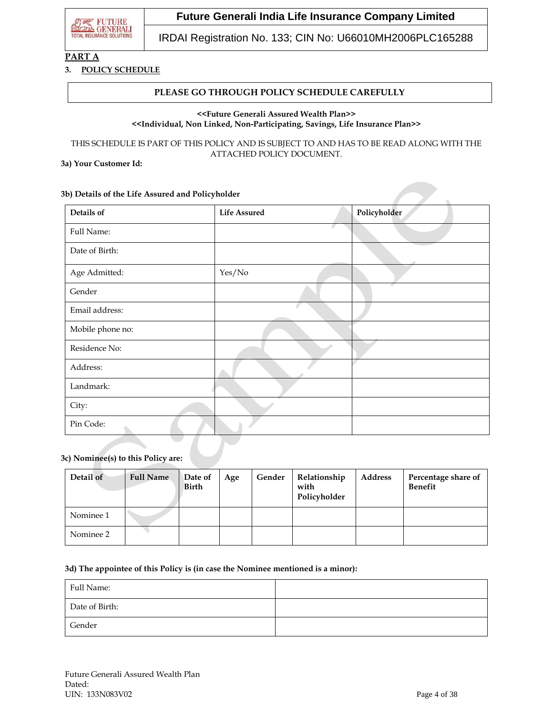

IRDAI Registration No. 133; CIN No: U66010MH2006PLC165288

## **PART A**

#### **3. POLICY SCHEDULE**

### **PLEASE GO THROUGH POLICY SCHEDULE CAREFULLY**

#### **<<Future Generali Assured Wealth Plan>> <<Individual, Non Linked, Non-Participating, Savings, Life Insurance Plan>>**

THIS SCHEDULE IS PART OF THIS POLICY AND IS SUBJECT TO AND HAS TO BE READ ALONG WITH THE ATTACHED POLICY DOCUMENT.

**3a) Your Customer Id:**

#### **3b) Details of the Life Assured and Policyholder**

| Details of       | <b>Life Assured</b> | Policyholder |
|------------------|---------------------|--------------|
| Full Name:       |                     | z.           |
| Date of Birth:   |                     |              |
| Age Admitted:    | Yes/No              |              |
| Gender           |                     |              |
| Email address:   |                     |              |
| Mobile phone no: |                     |              |
| Residence No:    |                     |              |
| Address:         |                     |              |
| Landmark:        |                     |              |
| City:            |                     |              |
| Pin Code:        |                     |              |

#### **3c) Nominee(s) to this Policy are:**

| Detail of | <b>Full Name</b> | Date of<br><b>Birth</b> | Age | Gender | Relationship<br>with<br>Policyholder | <b>Address</b> | Percentage share of<br><b>Benefit</b> |
|-----------|------------------|-------------------------|-----|--------|--------------------------------------|----------------|---------------------------------------|
| Nominee 1 |                  |                         |     |        |                                      |                |                                       |
| Nominee 2 |                  |                         |     |        |                                      |                |                                       |

#### **3d) The appointee of this Policy is (in case the Nominee mentioned is a minor):**

| Full Name:     |  |
|----------------|--|
| Date of Birth: |  |
| Gender         |  |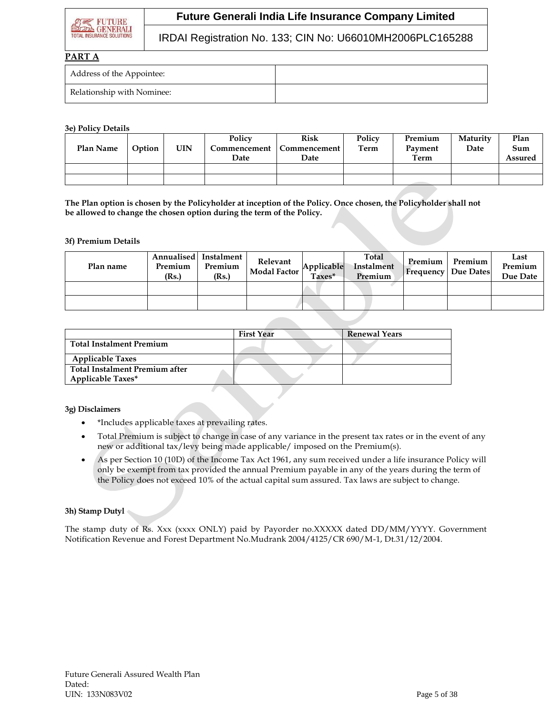

### IRDAI Registration No. 133; CIN No: U66010MH2006PLC165288

#### **PART A**

| Address of the Appointee:  |  |
|----------------------------|--|
| Relationship with Nominee: |  |

#### **3e) Policy Details**

| Plan Name | Option | <b>UIN</b> | Policy<br>Date | <b>Risk</b><br>Commencement   Commencement  <br>Date | Policy<br>Term | Premium<br>Payment<br>Term | Maturity<br>Date | Plan<br>Sum<br><b>Assured</b> |
|-----------|--------|------------|----------------|------------------------------------------------------|----------------|----------------------------|------------------|-------------------------------|
|           |        |            |                |                                                      |                |                            |                  |                               |
|           |        |            |                |                                                      |                |                            |                  |                               |

**The Plan option is chosen by the Policyholder at inception of the Policy. Once chosen, the Policyholder shall not be allowed to change the chosen option during the term of the Policy.**

#### **3f) Premium Details**

| Plan name | Premium<br>(Rs.) | Annualised Instalment<br>Premium<br>(Rs.) | Relevant<br>Modal Factor | Applicable<br>Taxes* | Total<br>Instalment<br>Premium | Premium | Premium<br>  Frequency   Due Dates | Last<br>Premium<br>Due Date |
|-----------|------------------|-------------------------------------------|--------------------------|----------------------|--------------------------------|---------|------------------------------------|-----------------------------|
|           |                  |                                           |                          |                      |                                |         |                                    |                             |
|           |                  |                                           |                          |                      |                                |         |                                    |                             |

|                                | <b>First Year</b> | <b>Renewal Years</b> |
|--------------------------------|-------------------|----------------------|
| Total Instalment Premium       |                   |                      |
| <b>Applicable Taxes</b>        |                   |                      |
| Total Instalment Premium after |                   |                      |
| <b>Applicable Taxes*</b>       |                   |                      |

### **3g) Disclaimers**

- \*Includes applicable taxes at prevailing rates.
- Total Premium is subject to change in case of any variance in the present tax rates or in the event of any new or additional tax/levy being made applicable/ imposed on the Premium(s).
- As per Section 10 (10D) of the Income Tax Act 1961, any sum received under a life insurance Policy will only be exempt from tax provided the annual Premium payable in any of the years during the term of the Policy does not exceed 10% of the actual capital sum assured. Tax laws are subject to change.

### **3h) Stamp Dutyl**

The stamp duty of Rs. Xxx (xxxx ONLY) paid by Payorder no.XXXXX dated DD/MM/YYYY. Government Notification Revenue and Forest Department No.Mudrank 2004/4125/CR 690/M-1, Dt.31/12/2004.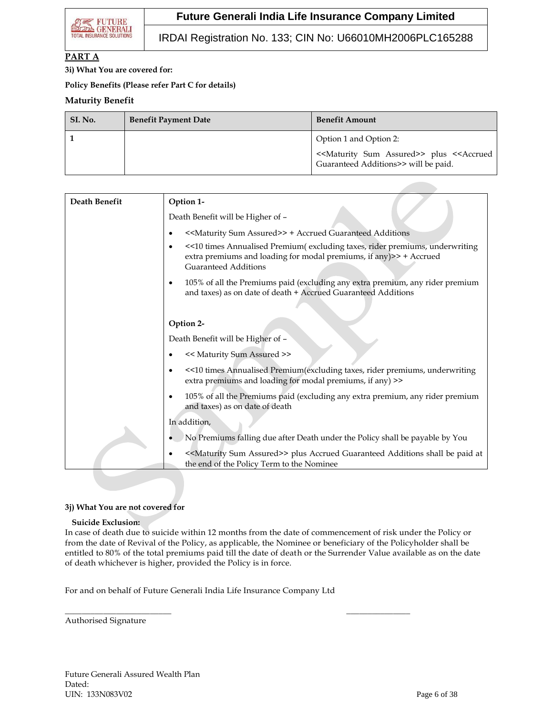IRDAI Registration No. 133; CIN No: U66010MH2006PLC165288

### **PART A**

**3i) What You are covered for:**

**Policy Benefits (Please refer Part C for details)**

### **Maturity Benefit**

| SI. No. | <b>Benefit Payment Date</b> | <b>Benefit Amount</b>                                                                                                      |
|---------|-----------------------------|----------------------------------------------------------------------------------------------------------------------------|
|         |                             | Option 1 and Option 2:                                                                                                     |
|         |                             | < <maturity assured="" sum="">&gt; plus &lt;<accrued<br>Guaranteed Additions&gt;&gt; will be paid.</accrued<br></maturity> |

| Death Benefit | Option 1-                                                                                                                                                                        |
|---------------|----------------------------------------------------------------------------------------------------------------------------------------------------------------------------------|
|               | Death Benefit will be Higher of -                                                                                                                                                |
|               | < <maturity assured="" sum="">&gt; + Accrued Guaranteed Additions</maturity>                                                                                                     |
|               | <<10 times Annualised Premium(excluding taxes, rider premiums, underwriting<br>extra premiums and loading for modal premiums, if any)>> + Accrued<br><b>Guaranteed Additions</b> |
|               | 105% of all the Premiums paid (excluding any extra premium, any rider premium<br>and taxes) as on date of death + Accrued Guaranteed Additions                                   |
|               | Option 2-                                                                                                                                                                        |
|               | Death Benefit will be Higher of -                                                                                                                                                |
|               | << Maturity Sum Assured >>                                                                                                                                                       |
|               | <<10 times Annualised Premium(excluding taxes, rider premiums, underwriting<br>extra premiums and loading for modal premiums, if any) >>                                         |
|               | 105% of all the Premiums paid (excluding any extra premium, any rider premium<br>and taxes) as on date of death                                                                  |
|               | In addition,                                                                                                                                                                     |
|               | No Premiums falling due after Death under the Policy shall be payable by You                                                                                                     |
|               | < <maturity assured="" sum="">&gt; plus Accrued Guaranteed Additions shall be paid at<br/>the end of the Policy Term to the Nominee</maturity>                                   |

#### **3j) What You are not covered for**

#### **Suicide Exclusion:**

In case of death due to suicide within 12 months from the date of commencement of risk under the Policy or from the date of Revival of the Policy, as applicable, the Nominee or beneficiary of the Policyholder shall be entitled to 80% of the total premiums paid till the date of death or the Surrender Value available as on the date of death whichever is higher, provided the Policy is in force.

For and on behalf of Future Generali India Life Insurance Company Ltd

 $\overline{\phantom{a}}$  , and the contract of the contract of the contract of the contract of the contract of the contract of the contract of the contract of the contract of the contract of the contract of the contract of the contrac

Authorised Signature

Future Generali Assured Wealth Plan Dated: UIN: 133N083V02 Page 6 of 38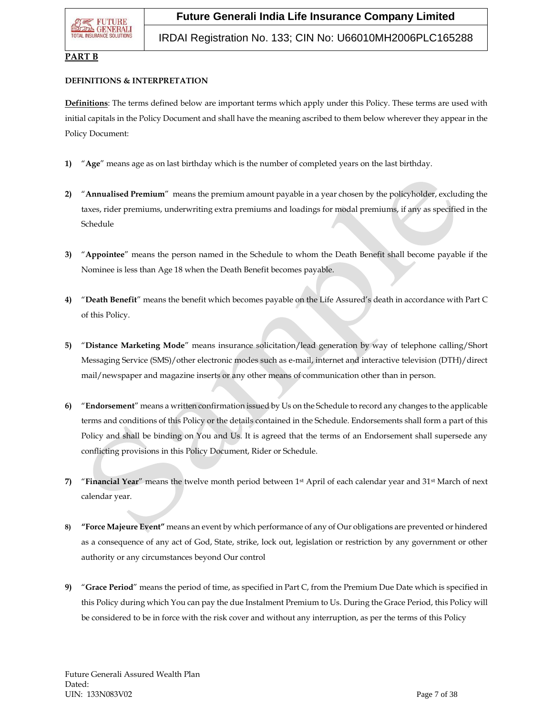IRDAI Registration No. 133; CIN No: U66010MH2006PLC165288

### **PART B**

#### **DEFINITIONS & INTERPRETATION**

**Definitions**: The terms defined below are important terms which apply under this Policy. These terms are used with initial capitals in the Policy Document and shall have the meaning ascribed to them below wherever they appear in the Policy Document:

- **1)** "**Age**" means age as on last birthday which is the number of completed years on the last birthday.
- **2)** "**Annualised Premium**" means the premium amount payable in a year chosen by the policyholder, excluding the taxes, rider premiums, underwriting extra premiums and loadings for modal premiums, if any as specified in the Schedule
- **3)** "**Appointee**" means the person named in the Schedule to whom the Death Benefit shall become payable if the Nominee is less than Age 18 when the Death Benefit becomes payable.
- **4)** "**Death Benefit**" means the benefit which becomes payable on the Life Assured's death in accordance with Part C of this Policy.
- **5)** "**Distance Marketing Mode**" means insurance solicitation/lead generation by way of telephone calling/Short Messaging Service (SMS)/other electronic modes such as e-mail, internet and interactive television (DTH)/direct mail/newspaper and magazine inserts or any other means of communication other than in person.
- **6)** "**Endorsement**" means a written confirmation issued by Us on the Schedule to record any changes to the applicable terms and conditions of this Policy or the details contained in the Schedule. Endorsements shall form a part of this Policy and shall be binding on You and Us. It is agreed that the terms of an Endorsement shall supersede any conflicting provisions in this Policy Document, Rider or Schedule.
- **7)** "**Financial Year**" means the twelve month period between 1st April of each calendar year and 31st March of next calendar year.
- **8) "Force Majeure Event"** means an event by which performance of any of Our obligations are prevented or hindered as a consequence of any act of God, State, strike, lock out, legislation or restriction by any government or other authority or any circumstances beyond Our control
- **9)** "**Grace Period**" means the period of time, as specified in Part C, from the Premium Due Date which is specified in this Policy during which You can pay the due Instalment Premium to Us. During the Grace Period, this Policy will be considered to be in force with the risk cover and without any interruption, as per the terms of this Policy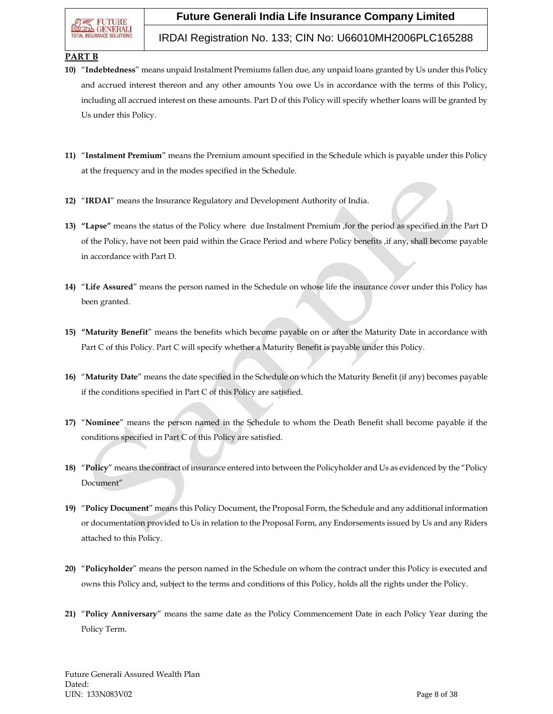### IRDAI Registration No. 133; CIN No: U66010MH2006PLC165288

### **PART B**

- **10)** "**Indebtedness**" means unpaid Instalment Premiums fallen due, any unpaid loans granted by Us under this Policy and accrued interest thereon and any other amounts You owe Us in accordance with the terms of this Policy, including all accrued interest on these amounts. Part D of this Policy will specify whether loans will be granted by Us under this Policy.
- **11)** "**Instalment Premium**" means the Premium amount specified in the Schedule which is payable under this Policy at the frequency and in the modes specified in the Schedule.
- **12)** "**IRDAI**" means the Insurance Regulatory and Development Authority of India.
- **13) "Lapse"** means the status of the Policy where due Instalment Premium ,for the period as specified in the Part D of the Policy, have not been paid within the Grace Period and where Policy benefits ,if any, shall become payable in accordance with Part D.
- **14)** "**Life Assured**" means the person named in the Schedule on whose life the insurance cover under this Policy has been granted.
- **15) "Maturity Benefit**" means the benefits which become payable on or after the Maturity Date in accordance with Part C of this Policy. Part C will specify whether a Maturity Benefit is payable under this Policy.
- **16)** "**Maturity Date**" means the date specified in the Schedule on which the Maturity Benefit (if any) becomes payable if the conditions specified in Part C of this Policy are satisfied.
- **17)** "**Nominee**" means the person named in the Schedule to whom the Death Benefit shall become payable if the conditions specified in Part C of this Policy are satisfied.
- **18)** "**Policy**" means the contract of insurance entered into between the Policyholder and Us as evidenced by the "Policy Document"
- **19)** "**Policy Document**" means this Policy Document, the Proposal Form, the Schedule and any additional information or documentation provided to Us in relation to the Proposal Form, any Endorsements issued by Us and any Riders attached to this Policy.
- **20)** "**Policyholder**" means the person named in the Schedule on whom the contract under this Policy is executed and owns this Policy and, subject to the terms and conditions of this Policy, holds all the rights under the Policy.
- **21)** "**Policy Anniversary**" means the same date as the Policy Commencement Date in each Policy Year during the Policy Term.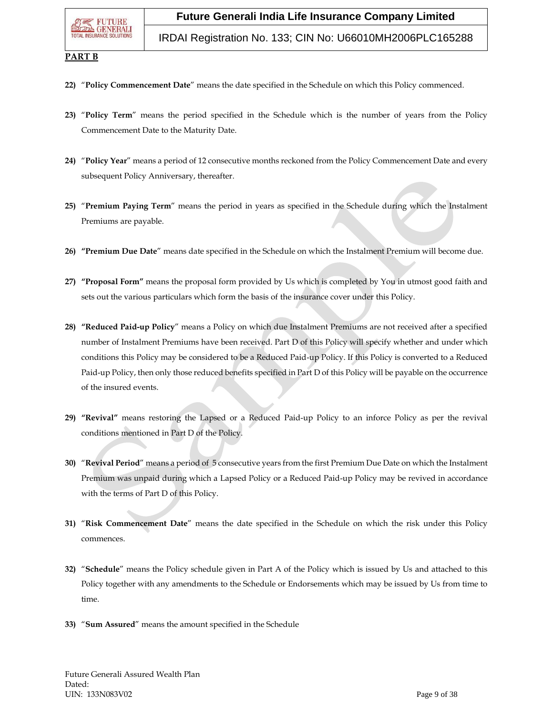### IRDAI Registration No. 133; CIN No: U66010MH2006PLC165288

#### **PART B**

- **22)** "**Policy Commencement Date**" means the date specified in the Schedule on which this Policy commenced.
- **23)** "**Policy Term**" means the period specified in the Schedule which is the number of years from the Policy Commencement Date to the Maturity Date.
- **24)** "**Policy Year**" means a period of 12 consecutive months reckoned from the Policy Commencement Date and every subsequent Policy Anniversary, thereafter.
- **25)** "**Premium Paying Term**" means the period in years as specified in the Schedule during which the Instalment Premiums are payable.
- **26) "Premium Due Date**" means date specified in the Schedule on which the Instalment Premium will become due.
- **27) "Proposal Form"** means the proposal form provided by Us which is completed by You in utmost good faith and sets out the various particulars which form the basis of the insurance cover under this Policy.
- **28) "Reduced Paid-up Policy**" means a Policy on which due Instalment Premiums are not received after a specified number of Instalment Premiums have been received. Part D of this Policy will specify whether and under which conditions this Policy may be considered to be a Reduced Paid-up Policy. If this Policy is converted to a Reduced Paid-up Policy, then only those reduced benefits specified in Part D of this Policy will be payable on the occurrence of the insured events.
- **29) "Revival"** means restoring the Lapsed or a Reduced Paid-up Policy to an inforce Policy as per the revival conditions mentioned in Part D of the Policy.
- **30)** "**Revival Period**" means a period of 5 consecutive years from the first Premium Due Date on which the Instalment Premium was unpaid during which a Lapsed Policy or a Reduced Paid-up Policy may be revived in accordance with the terms of Part D of this Policy.
- **31)** "**Risk Commencement Date**" means the date specified in the Schedule on which the risk under this Policy commences.
- **32)** "**Schedule**" means the Policy schedule given in Part A of the Policy which is issued by Us and attached to this Policy together with any amendments to the Schedule or Endorsements which may be issued by Us from time to time.
- **33)** "**Sum Assured**" means the amount specified in the Schedule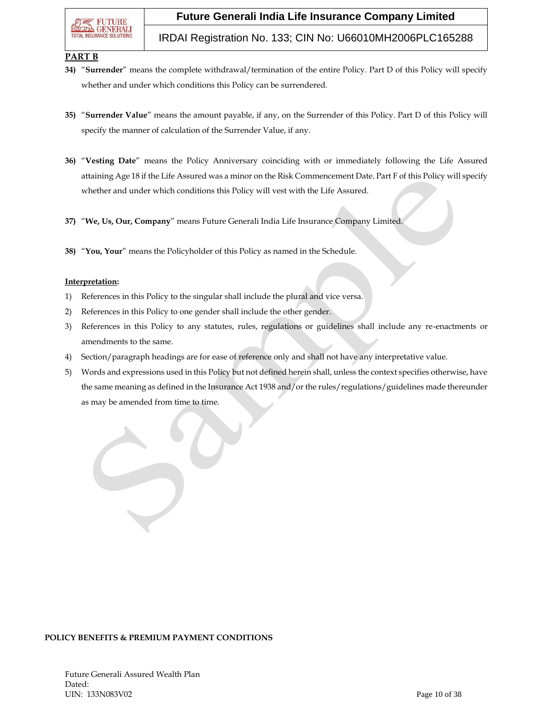### IRDAI Registration No. 133; CIN No: U66010MH2006PLC165288

### **PART B**

- **34)** "**Surrender**" means the complete withdrawal/termination of the entire Policy. Part D of this Policy will specify whether and under which conditions this Policy can be surrendered.
- **35)** "**Surrender Value**" means the amount payable, if any, on the Surrender of this Policy. Part D of this Policy will specify the manner of calculation of the Surrender Value, if any.
- **36)** "**Vesting Date**" means the Policy Anniversary coinciding with or immediately following the Life Assured attaining Age 18 if the Life Assured was a minor on the Risk Commencement Date. Part F of this Policy will specify whether and under which conditions this Policy will vest with the Life Assured.
- **37)** "**We, Us, Our, Company**" means Future Generali India Life Insurance Company Limited.
- **38)** "**You, Your**" means the Policyholder of this Policy as named in the Schedule.

#### **Interpretation:**

- 1) References in this Policy to the singular shall include the plural and vice versa.
- 2) References in this Policy to one gender shall include the other gender.
- 3) References in this Policy to any statutes, rules, regulations or guidelines shall include any re-enactments or amendments to the same.
- 4) Section/paragraph headings are for ease of reference only and shall not have any interpretative value.
- 5) Words and expressions used in this Policy but not defined herein shall, unless the context specifies otherwise, have the same meaning as defined in the Insurance Act 1938 and/or the rules/regulations/guidelines made thereunder as may be amended from time to time.

### **POLICY BENEFITS & PREMIUM PAYMENT CONDITIONS**

Future Generali Assured Wealth Plan Dated: UIN: 133N083V02 Page 10 of 38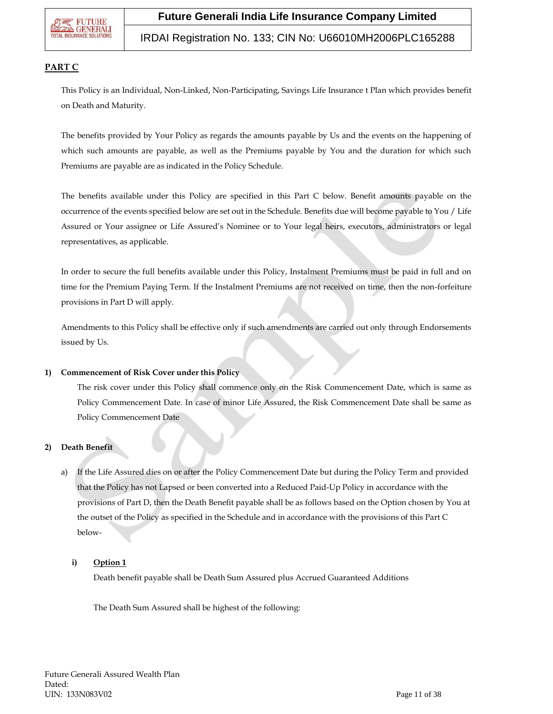

### IRDAI Registration No. 133; CIN No: U66010MH2006PLC165288

### **PART C**

This Policy is an Individual, Non-Linked, Non-Participating, Savings Life Insurance t Plan which provides benefit on Death and Maturity.

The benefits provided by Your Policy as regards the amounts payable by Us and the events on the happening of which such amounts are payable, as well as the Premiums payable by You and the duration for which such Premiums are payable are as indicated in the Policy Schedule.

The benefits available under this Policy are specified in this Part C below. Benefit amounts payable on the occurrence of the events specified below are set out in the Schedule. Benefits due will become payable to You / Life Assured or Your assignee or Life Assured's Nominee or to Your legal heirs, executors, administrators or legal representatives, as applicable.

In order to secure the full benefits available under this Policy, Instalment Premiums must be paid in full and on time for the Premium Paying Term. If the Instalment Premiums are not received on time, then the non-forfeiture provisions in Part D will apply.

Amendments to this Policy shall be effective only if such amendments are carried out only through Endorsements issued by Us.

#### **1) Commencement of Risk Cover under this Policy**

The risk cover under this Policy shall commence only on the Risk Commencement Date, which is same as Policy Commencement Date. In case of minor Life Assured, the Risk Commencement Date shall be same as Policy Commencement Date

### **2) Death Benefit**

a) If the Life Assured dies on or after the Policy Commencement Date but during the Policy Term and provided that the Policy has not Lapsed or been converted into a Reduced Paid-Up Policy in accordance with the provisions of Part D, then the Death Benefit payable shall be as follows based on the Option chosen by You at the outset of the Policy as specified in the Schedule and in accordance with the provisions of this Part C below-

### **i) Option 1**

Death benefit payable shall be Death Sum Assured plus Accrued Guaranteed Additions

The Death Sum Assured shall be highest of the following: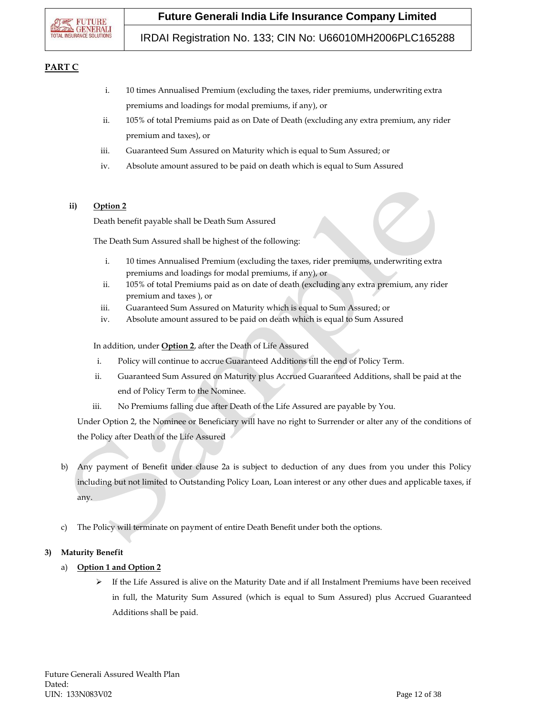### IRDAI Registration No. 133; CIN No: U66010MH2006PLC165288

### **PART C**

- i. 10 times Annualised Premium (excluding the taxes, rider premiums, underwriting extra premiums and loadings for modal premiums, if any), or
- ii. 105% of total Premiums paid as on Date of Death (excluding any extra premium, any rider premium and taxes), or
- iii. Guaranteed Sum Assured on Maturity which is equal to Sum Assured; or
- iv. Absolute amount assured to be paid on death which is equal to Sum Assured

### **ii) Option 2**

Death benefit payable shall be Death Sum Assured

The Death Sum Assured shall be highest of the following:

- i. 10 times Annualised Premium (excluding the taxes, rider premiums, underwriting extra premiums and loadings for modal premiums, if any), or
- ii. 105% of total Premiums paid as on date of death (excluding any extra premium, any rider premium and taxes ), or
- iii. Guaranteed Sum Assured on Maturity which is equal to Sum Assured; or
- iv. Absolute amount assured to be paid on death which is equal to Sum Assured

In addition, under **Option 2**, after the Death of Life Assured

- i. Policy will continue to accrue Guaranteed Additions till the end of Policy Term.
- ii. Guaranteed Sum Assured on Maturity plus Accrued Guaranteed Additions, shall be paid at the end of Policy Term to the Nominee.
- iii. No Premiums falling due after Death of the Life Assured are payable by You.

Under Option 2, the Nominee or Beneficiary will have no right to Surrender or alter any of the conditions of the Policy after Death of the Life Assured

- b) Any payment of Benefit under clause 2a is subject to deduction of any dues from you under this Policy including but not limited to Outstanding Policy Loan, Loan interest or any other dues and applicable taxes, if any.
- c) The Policy will terminate on payment of entire Death Benefit under both the options.

### **3) Maturity Benefit**

- a) **Option 1 and Option 2**
	- $\triangleright$  If the Life Assured is alive on the Maturity Date and if all Instalment Premiums have been received in full, the Maturity Sum Assured (which is equal to Sum Assured) plus Accrued Guaranteed Additions shall be paid.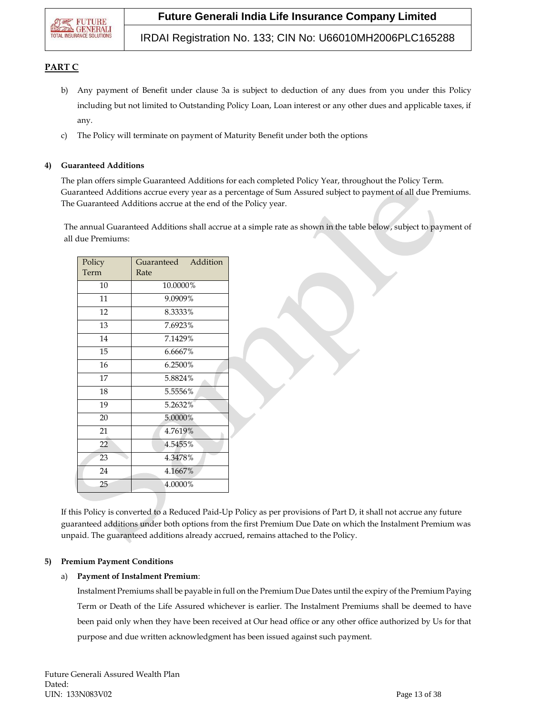

IRDAI Registration No. 133; CIN No: U66010MH2006PLC165288

### **PART C**

- b) Any payment of Benefit under clause 3a is subject to deduction of any dues from you under this Policy including but not limited to Outstanding Policy Loan, Loan interest or any other dues and applicable taxes, if any.
- c) The Policy will terminate on payment of Maturity Benefit under both the options

#### **4) Guaranteed Additions**

The plan offers simple Guaranteed Additions for each completed Policy Year, throughout the Policy Term. Guaranteed Additions accrue every year as a percentage of Sum Assured subject to payment of all due Premiums. The Guaranteed Additions accrue at the end of the Policy year.

The annual Guaranteed Additions shall accrue at a simple rate as shown in the table below, subject to payment of all due Premiums:

| Policy<br>Term | Guaranteed Addition<br>Rate |
|----------------|-----------------------------|
| 10             | 10.0000%                    |
| 11             | 9.0909%                     |
| 12             | 8.3333%                     |
| 13             | 7.6923%                     |
| 14             | 7.1429%                     |
| 15             | 6.6667%                     |
| 16             | 6.2500%                     |
| 17             | 5.8824%                     |
| 18             | 5.5556%                     |
| 19             | 5.2632%                     |
| 20             | 5.0000%                     |
| 21             | 4.7619%                     |
| 22             | 4.5455%                     |
| 23             | 4.3478%                     |
| 24             | 4.1667%                     |
| 25             | 4.0000%                     |

If this Policy is converted to a Reduced Paid-Up Policy as per provisions of Part D, it shall not accrue any future guaranteed additions under both options from the first Premium Due Date on which the Instalment Premium was unpaid. The guaranteed additions already accrued, remains attached to the Policy.

### **5) Premium Payment Conditions**

### a) **Payment of Instalment Premium**:

Instalment Premiums shall be payable in full on the Premium Due Dates until the expiry of the Premium Paying Term or Death of the Life Assured whichever is earlier. The Instalment Premiums shall be deemed to have been paid only when they have been received at Our head office or any other office authorized by Us for that purpose and due written acknowledgment has been issued against such payment.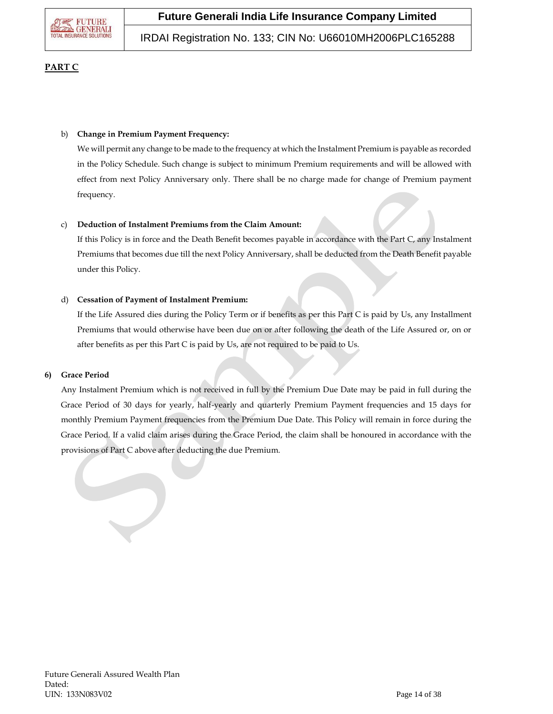

IRDAI Registration No. 133; CIN No: U66010MH2006PLC165288

### **PART C**

#### b) **Change in Premium Payment Frequency:**

We will permit any change to be made to the frequency at which the Instalment Premium is payable as recorded in the Policy Schedule. Such change is subject to minimum Premium requirements and will be allowed with effect from next Policy Anniversary only. There shall be no charge made for change of Premium payment frequency.

#### c) **Deduction of Instalment Premiums from the Claim Amount:**

If this Policy is in force and the Death Benefit becomes payable in accordance with the Part C, any Instalment Premiums that becomes due till the next Policy Anniversary, shall be deducted from the Death Benefit payable under this Policy.

#### d) **Cessation of Payment of Instalment Premium:**

If the Life Assured dies during the Policy Term or if benefits as per this Part C is paid by Us, any Installment Premiums that would otherwise have been due on or after following the death of the Life Assured or, on or after benefits as per this Part C is paid by Us, are not required to be paid to Us.

### **6) Grace Period**

Any Instalment Premium which is not received in full by the Premium Due Date may be paid in full during the Grace Period of 30 days for yearly, half-yearly and quarterly Premium Payment frequencies and 15 days for monthly Premium Payment frequencies from the Premium Due Date. This Policy will remain in force during the Grace Period. If a valid claim arises during the Grace Period, the claim shall be honoured in accordance with the provisions of Part C above after deducting the due Premium.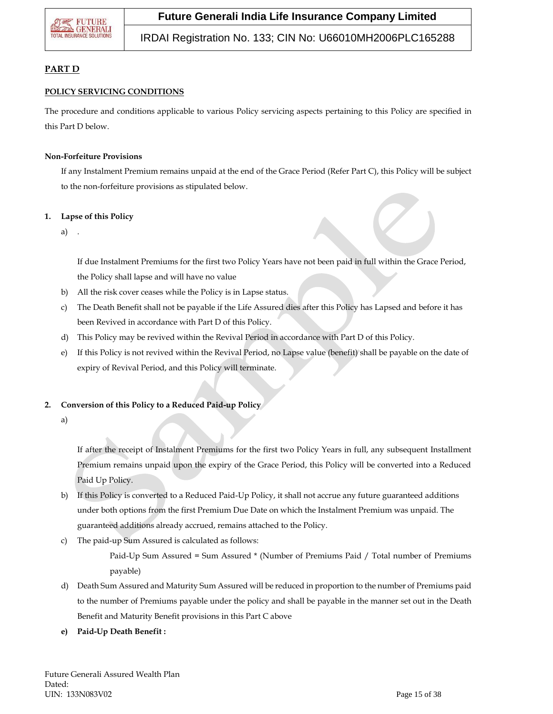### IRDAI Registration No. 133; CIN No: U66010MH2006PLC165288

### **PART D**

### **POLICY SERVICING CONDITIONS**

The procedure and conditions applicable to various Policy servicing aspects pertaining to this Policy are specified in this Part D below.

### **Non-Forfeiture Provisions**

If any Instalment Premium remains unpaid at the end of the Grace Period (Refer Part C), this Policy will be subject to the non-forfeiture provisions as stipulated below.

### **1. Lapse of this Policy**

 $a)$ 

If due Instalment Premiums for the first two Policy Years have not been paid in full within the Grace Period, the Policy shall lapse and will have no value

- b) All the risk cover ceases while the Policy is in Lapse status.
- c) The Death Benefit shall not be payable if the Life Assured dies after this Policy has Lapsed and before it has been Revived in accordance with Part D of this Policy.
- d) This Policy may be revived within the Revival Period in accordance with Part D of this Policy.
- e) If this Policy is not revived within the Revival Period, no Lapse value (benefit) shall be payable on the date of expiry of Revival Period, and this Policy will terminate.

### **2. Conversion of this Policy to a Reduced Paid-up Policy**

a)

If after the receipt of Instalment Premiums for the first two Policy Years in full, any subsequent Installment Premium remains unpaid upon the expiry of the Grace Period, this Policy will be converted into a Reduced Paid Up Policy.

- b) If this Policy is converted to a Reduced Paid-Up Policy, it shall not accrue any future guaranteed additions under both options from the first Premium Due Date on which the Instalment Premium was unpaid. The guaranteed additions already accrued, remains attached to the Policy.
- c) The paid-up Sum Assured is calculated as follows:

Paid-Up Sum Assured = Sum Assured \* (Number of Premiums Paid / Total number of Premiums payable)

- d) Death Sum Assured and Maturity Sum Assured will be reduced in proportion to the number of Premiums paid to the number of Premiums payable under the policy and shall be payable in the manner set out in the Death Benefit and Maturity Benefit provisions in this Part C above
- **e) Paid-Up Death Benefit :**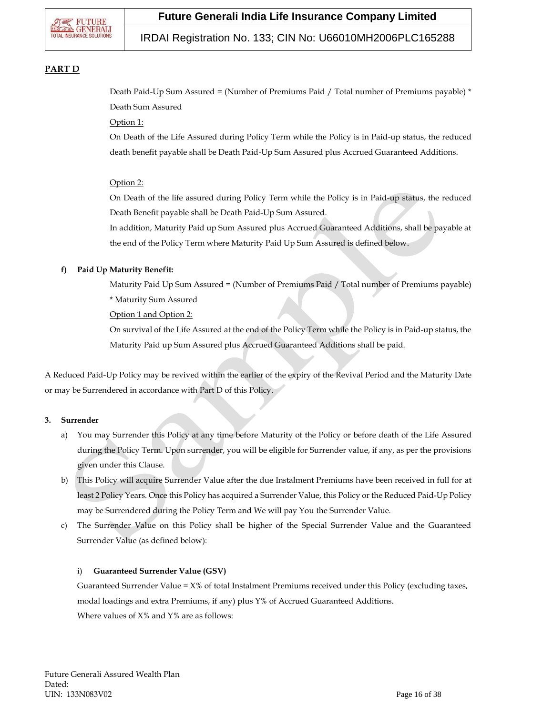

### IRDAI Registration No. 133; CIN No: U66010MH2006PLC165288

### **PART D**

Death Paid-Up Sum Assured = (Number of Premiums Paid / Total number of Premiums payable) \* Death Sum Assured

#### Option 1:

On Death of the Life Assured during Policy Term while the Policy is in Paid-up status, the reduced death benefit payable shall be Death Paid-Up Sum Assured plus Accrued Guaranteed Additions.

### Option 2:

On Death of the life assured during Policy Term while the Policy is in Paid-up status, the reduced Death Benefit payable shall be Death Paid-Up Sum Assured.

In addition, Maturity Paid up Sum Assured plus Accrued Guaranteed Additions, shall be payable at the end of the Policy Term where Maturity Paid Up Sum Assured is defined below.

### **f) Paid Up Maturity Benefit:**

Maturity Paid Up Sum Assured = (Number of Premiums Paid / Total number of Premiums payable) \* Maturity Sum Assured

Option 1 and Option 2:

On survival of the Life Assured at the end of the Policy Term while the Policy is in Paid-up status, the Maturity Paid up Sum Assured plus Accrued Guaranteed Additions shall be paid.

A Reduced Paid-Up Policy may be revived within the earlier of the expiry of the Revival Period and the Maturity Date or may be Surrendered in accordance with Part D of this Policy.

#### **3. Surrender**

- a) You may Surrender this Policy at any time before Maturity of the Policy or before death of the Life Assured during the Policy Term. Upon surrender, you will be eligible for Surrender value, if any, as per the provisions given under this Clause.
- b) This Policy will acquire Surrender Value after the due Instalment Premiums have been received in full for at least 2 Policy Years. Once this Policy has acquired a Surrender Value, this Policy or the Reduced Paid-Up Policy may be Surrendered during the Policy Term and We will pay You the Surrender Value.
- c) The Surrender Value on this Policy shall be higher of the Special Surrender Value and the Guaranteed Surrender Value (as defined below):

#### i) **Guaranteed Surrender Value (GSV)**

Guaranteed Surrender Value = X% of total Instalment Premiums received under this Policy (excluding taxes, modal loadings and extra Premiums, if any) plus Y% of Accrued Guaranteed Additions. Where values of  $X\%$  and  $Y\%$  are as follows: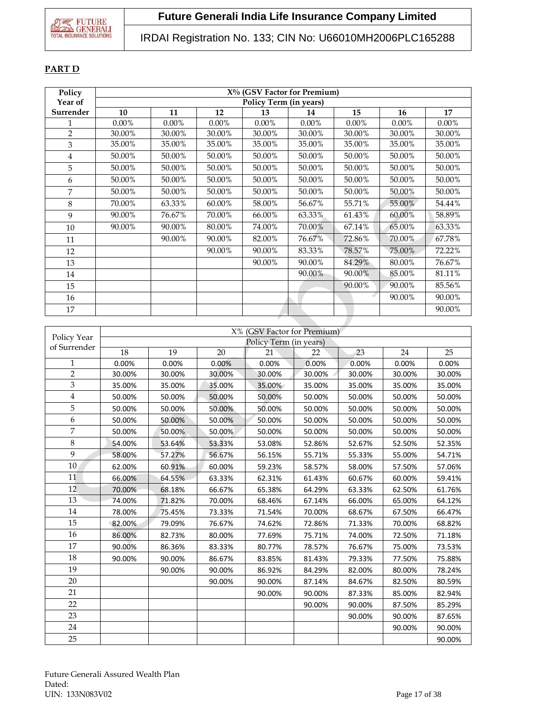## IRDAI Registration No. 133; CIN No: U66010MH2006PLC165288

### **PART D**

| Policy         |          | $X\%$ (GSV Factor for Premium) |          |          |          |          |          |        |
|----------------|----------|--------------------------------|----------|----------|----------|----------|----------|--------|
| Year of        |          | Policy Term (in years)         |          |          |          |          |          |        |
| Surrender      | 10       | 11                             | 12       | 13       | 14       | 15       | 16       | 17     |
| 1              | $0.00\%$ | $0.00\%$                       | $0.00\%$ | $0.00\%$ | $0.00\%$ | $0.00\%$ | $0.00\%$ | 0.00%  |
| $\overline{2}$ | 30.00%   | 30.00%                         | 30.00%   | 30.00%   | 30.00%   | 30.00%   | 30.00%   | 30.00% |
| 3              | 35.00%   | 35.00%                         | 35.00%   | 35.00%   | 35.00%   | 35.00%   | 35.00%   | 35.00% |
| 4              | 50.00%   | 50.00%                         | 50.00%   | 50.00%   | 50.00%   | 50.00%   | 50.00%   | 50.00% |
| 5              | 50.00%   | 50.00%                         | 50.00%   | 50.00%   | 50.00%   | 50.00%   | 50.00%   | 50.00% |
| 6              | 50.00%   | 50.00%                         | 50.00%   | 50.00%   | 50.00%   | 50.00%   | 50.00%   | 50.00% |
| 7              | 50.00%   | 50.00%                         | 50.00%   | 50.00%   | 50.00%   | 50.00%   | 50.00%   | 50.00% |
| 8              | 70.00%   | 63.33%                         | 60.00%   | 58.00%   | 56.67%   | 55.71%   | 55.00%   | 54.44% |
| 9              | 90.00%   | 76.67%                         | 70.00%   | 66.00%   | 63.33%   | 61.43%   | 60.00%   | 58.89% |
| 10             | 90.00%   | 90.00%                         | 80.00%   | 74.00%   | 70.00%   | 67.14%   | 65.00%   | 63.33% |
| 11             |          | 90.00%                         | 90.00%   | 82.00%   | 76.67%   | 72.86%   | 70.00%   | 67.78% |
| 12             |          |                                | 90.00%   | 90.00%   | 83.33%   | 78.57%   | 75.00%   | 72.22% |
| 13             |          |                                |          | 90.00%   | 90.00%   | 84.29%   | 80.00%   | 76.67% |
| 14             |          |                                |          |          | 90.00%   | 90.00%   | 85.00%   | 81.11% |
| 15             |          |                                |          |          |          | 90.00%   | 90.00%   | 85.56% |
| 16             |          |                                |          |          |          |          | 90.00%   | 90.00% |
| 17             |          |                                |          |          |          |          |          | 90.00% |

| Policy Year    | X% (GSV Factor for Premium) |        |        |                        |        |        |        |        |  |  |
|----------------|-----------------------------|--------|--------|------------------------|--------|--------|--------|--------|--|--|
| of Surrender   |                             |        |        | Policy Term (in years) |        |        |        |        |  |  |
|                | 18                          | 19     | 20     | 21                     | 22     | 23     | 24     | 25     |  |  |
| $\mathbf{1}$   | 0.00%                       | 0.00%  | 0.00%  | 0.00%                  | 0.00%  | 0.00%  | 0.00%  | 0.00%  |  |  |
| $\overline{2}$ | 30.00%                      | 30.00% | 30.00% | 30.00%                 | 30.00% | 30.00% | 30.00% | 30.00% |  |  |
| 3              | 35.00%                      | 35.00% | 35.00% | 35.00%                 | 35.00% | 35.00% | 35.00% | 35.00% |  |  |
| 4              | 50.00%                      | 50.00% | 50.00% | 50.00%                 | 50.00% | 50.00% | 50.00% | 50.00% |  |  |
| 5              | 50.00%                      | 50.00% | 50.00% | 50.00%                 | 50.00% | 50.00% | 50.00% | 50.00% |  |  |
| 6              | 50.00%                      | 50.00% | 50.00% | 50.00%                 | 50.00% | 50.00% | 50.00% | 50.00% |  |  |
| 7              | 50.00%                      | 50.00% | 50.00% | 50.00%                 | 50.00% | 50.00% | 50.00% | 50.00% |  |  |
| 8              | 54.00%                      | 53.64% | 53.33% | 53.08%                 | 52.86% | 52.67% | 52.50% | 52.35% |  |  |
| 9              | 58.00%                      | 57.27% | 56.67% | 56.15%                 | 55.71% | 55.33% | 55.00% | 54.71% |  |  |
| 10             | 62.00%                      | 60.91% | 60.00% | 59.23%                 | 58.57% | 58.00% | 57.50% | 57.06% |  |  |
| 11             | 66.00%                      | 64.55% | 63.33% | 62.31%                 | 61.43% | 60.67% | 60.00% | 59.41% |  |  |
| 12             | 70.00%                      | 68.18% | 66.67% | 65.38%                 | 64.29% | 63.33% | 62.50% | 61.76% |  |  |
| 13             | 74.00%                      | 71.82% | 70.00% | 68.46%                 | 67.14% | 66.00% | 65.00% | 64.12% |  |  |
| 14             | 78.00%                      | 75.45% | 73.33% | 71.54%                 | 70.00% | 68.67% | 67.50% | 66.47% |  |  |
| 15             | 82.00%                      | 79.09% | 76.67% | 74.62%                 | 72.86% | 71.33% | 70.00% | 68.82% |  |  |
| 16             | 86.00%                      | 82.73% | 80.00% | 77.69%                 | 75.71% | 74.00% | 72.50% | 71.18% |  |  |
| 17             | 90.00%                      | 86.36% | 83.33% | 80.77%                 | 78.57% | 76.67% | 75.00% | 73.53% |  |  |
| 18             | 90.00%                      | 90.00% | 86.67% | 83.85%                 | 81.43% | 79.33% | 77.50% | 75.88% |  |  |
| 19             |                             | 90.00% | 90.00% | 86.92%                 | 84.29% | 82.00% | 80.00% | 78.24% |  |  |
| 20             |                             |        | 90.00% | 90.00%                 | 87.14% | 84.67% | 82.50% | 80.59% |  |  |
| 21             |                             |        |        | 90.00%                 | 90.00% | 87.33% | 85.00% | 82.94% |  |  |
| 22             |                             |        |        |                        | 90.00% | 90.00% | 87.50% | 85.29% |  |  |
| 23             |                             |        |        |                        |        | 90.00% | 90.00% | 87.65% |  |  |
| 24             |                             |        |        |                        |        |        | 90.00% | 90.00% |  |  |
| 25             |                             |        |        |                        |        |        |        | 90.00% |  |  |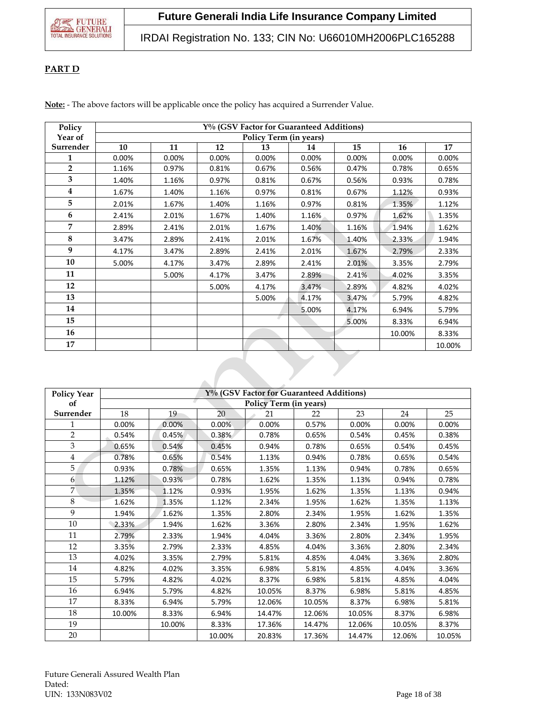IRDAI Registration No. 133; CIN No: U66010MH2006PLC165288

### **PART D**

**Note:** - The above factors will be applicable once the policy has acquired a Surrender Value.

| Policy         |       | Y% (GSV Factor for Guaranteed Additions) |       |       |       |       |        |        |
|----------------|-------|------------------------------------------|-------|-------|-------|-------|--------|--------|
| Year of        |       | Policy Term (in years)                   |       |       |       |       |        |        |
| Surrender      | 10    | 11                                       | 12    | 13    | 14    | 15    | 16     | 17     |
| 1              | 0.00% | 0.00%                                    | 0.00% | 0.00% | 0.00% | 0.00% | 0.00%  | 0.00%  |
| $\overline{2}$ | 1.16% | 0.97%                                    | 0.81% | 0.67% | 0.56% | 0.47% | 0.78%  | 0.65%  |
| 3              | 1.40% | 1.16%                                    | 0.97% | 0.81% | 0.67% | 0.56% | 0.93%  | 0.78%  |
| $\overline{4}$ | 1.67% | 1.40%                                    | 1.16% | 0.97% | 0.81% | 0.67% | 1.12%  | 0.93%  |
| 5              | 2.01% | 1.67%                                    | 1.40% | 1.16% | 0.97% | 0.81% | 1.35%  | 1.12%  |
| 6              | 2.41% | 2.01%                                    | 1.67% | 1.40% | 1.16% | 0.97% | 1.62%  | 1.35%  |
| $\overline{7}$ | 2.89% | 2.41%                                    | 2.01% | 1.67% | 1.40% | 1.16% | 1.94%  | 1.62%  |
| 8              | 3.47% | 2.89%                                    | 2.41% | 2.01% | 1.67% | 1.40% | 2.33%  | 1.94%  |
| 9              | 4.17% | 3.47%                                    | 2.89% | 2.41% | 2.01% | 1.67% | 2.79%  | 2.33%  |
| 10             | 5.00% | 4.17%                                    | 3.47% | 2.89% | 2.41% | 2.01% | 3.35%  | 2.79%  |
| 11             |       | 5.00%                                    | 4.17% | 3.47% | 2.89% | 2.41% | 4.02%  | 3.35%  |
| 12             |       |                                          | 5.00% | 4.17% | 3.47% | 2.89% | 4.82%  | 4.02%  |
| 13             |       |                                          |       | 5.00% | 4.17% | 3.47% | 5.79%  | 4.82%  |
| 14             |       |                                          |       |       | 5.00% | 4.17% | 6.94%  | 5.79%  |
| 15             |       |                                          |       | U     |       | 5.00% | 8.33%  | 6.94%  |
| 16             |       |                                          |       |       |       |       | 10.00% | 8.33%  |
| 17             |       |                                          |       |       |       |       |        | 10.00% |

| <b>Policy Year</b> | Y% (GSV Factor for Guaranteed Additions) |        |        |        |        |        |        |        |
|--------------------|------------------------------------------|--------|--------|--------|--------|--------|--------|--------|
| of                 | <b>Policy Term (in years)</b>            |        |        |        |        |        |        |        |
| Surrender          | 18                                       | 19     | 20     | 21     | 22     | 23     | 24     | 25     |
| 1                  | 0.00%                                    | 0.00%  | 0.00%  | 0.00%  | 0.57%  | 0.00%  | 0.00%  | 0.00%  |
| $\overline{2}$     | 0.54%                                    | 0.45%  | 0.38%  | 0.78%  | 0.65%  | 0.54%  | 0.45%  | 0.38%  |
| 3                  | 0.65%                                    | 0.54%  | 0.45%  | 0.94%  | 0.78%  | 0.65%  | 0.54%  | 0.45%  |
| $\overline{4}$     | 0.78%                                    | 0.65%  | 0.54%  | 1.13%  | 0.94%  | 0.78%  | 0.65%  | 0.54%  |
| 5                  | 0.93%                                    | 0.78%  | 0.65%  | 1.35%  | 1.13%  | 0.94%  | 0.78%  | 0.65%  |
| 6                  | 1.12%                                    | 0.93%  | 0.78%  | 1.62%  | 1.35%  | 1.13%  | 0.94%  | 0.78%  |
| $\overline{7}$     | 1.35%                                    | 1.12%  | 0.93%  | 1.95%  | 1.62%  | 1.35%  | 1.13%  | 0.94%  |
| 8                  | 1.62%                                    | 1.35%  | 1.12%  | 2.34%  | 1.95%  | 1.62%  | 1.35%  | 1.13%  |
| $\mathbf{Q}$       | 1.94%                                    | 1.62%  | 1.35%  | 2.80%  | 2.34%  | 1.95%  | 1.62%  | 1.35%  |
| 10                 | 2.33%                                    | 1.94%  | 1.62%  | 3.36%  | 2.80%  | 2.34%  | 1.95%  | 1.62%  |
| 11                 | 2.79%                                    | 2.33%  | 1.94%  | 4.04%  | 3.36%  | 2.80%  | 2.34%  | 1.95%  |
| 12                 | 3.35%                                    | 2.79%  | 2.33%  | 4.85%  | 4.04%  | 3.36%  | 2.80%  | 2.34%  |
| 13                 | 4.02%                                    | 3.35%  | 2.79%  | 5.81%  | 4.85%  | 4.04%  | 3.36%  | 2.80%  |
| 14                 | 4.82%                                    | 4.02%  | 3.35%  | 6.98%  | 5.81%  | 4.85%  | 4.04%  | 3.36%  |
| 15                 | 5.79%                                    | 4.82%  | 4.02%  | 8.37%  | 6.98%  | 5.81%  | 4.85%  | 4.04%  |
| 16                 | 6.94%                                    | 5.79%  | 4.82%  | 10.05% | 8.37%  | 6.98%  | 5.81%  | 4.85%  |
| 17                 | 8.33%                                    | 6.94%  | 5.79%  | 12.06% | 10.05% | 8.37%  | 6.98%  | 5.81%  |
| 18                 | 10.00%                                   | 8.33%  | 6.94%  | 14.47% | 12.06% | 10.05% | 8.37%  | 6.98%  |
| 19                 |                                          | 10.00% | 8.33%  | 17.36% | 14.47% | 12.06% | 10.05% | 8.37%  |
| 20                 |                                          |        | 10.00% | 20.83% | 17.36% | 14.47% | 12.06% | 10.05% |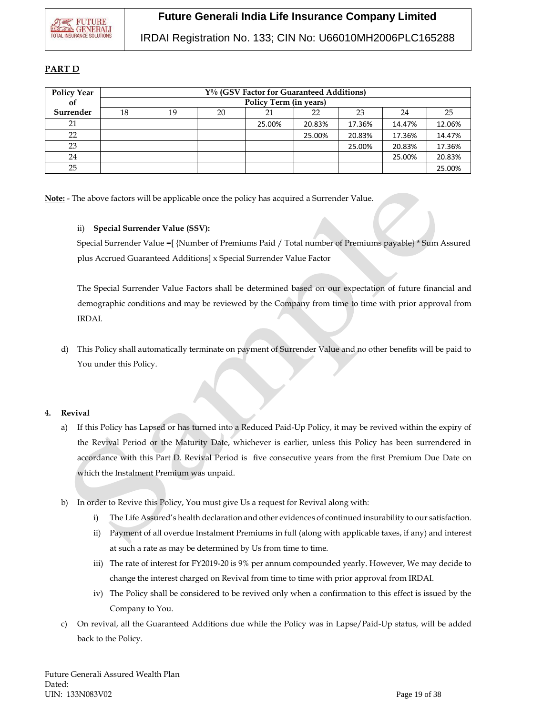### **PART D**

| <b>Policy Year</b> | Y% (GSV Factor for Guaranteed Additions) |                        |    |        |        |        |        |        |
|--------------------|------------------------------------------|------------------------|----|--------|--------|--------|--------|--------|
| οf                 |                                          | Policy Term (in years) |    |        |        |        |        |        |
| Surrender          | 18                                       | 19                     | 20 |        | 22     | 23     | 24     | 25     |
| 21                 |                                          |                        |    | 25.00% | 20.83% | 17.36% | 14.47% | 12.06% |
| 22                 |                                          |                        |    |        | 25.00% | 20.83% | 17.36% | 14.47% |
| 23                 |                                          |                        |    |        |        | 25.00% | 20.83% | 17.36% |
| 24                 |                                          |                        |    |        |        |        | 25.00% | 20.83% |
| 25                 |                                          |                        |    |        |        |        |        | 25.00% |

**Note:** - The above factors will be applicable once the policy has acquired a Surrender Value.

### ii) **Special Surrender Value (SSV):**

Special Surrender Value =[ {Number of Premiums Paid / Total number of Premiums payable} \* Sum Assured plus Accrued Guaranteed Additions] x Special Surrender Value Factor

The Special Surrender Value Factors shall be determined based on our expectation of future financial and demographic conditions and may be reviewed by the Company from time to time with prior approval from IRDAI.

d) This Policy shall automatically terminate on payment of Surrender Value and no other benefits will be paid to You under this Policy.

### **4. Revival**

- a) If this Policy has Lapsed or has turned into a Reduced Paid-Up Policy, it may be revived within the expiry of the Revival Period or the Maturity Date, whichever is earlier, unless this Policy has been surrendered in accordance with this Part D. Revival Period is five consecutive years from the first Premium Due Date on which the Instalment Premium was unpaid.
- b) In order to Revive this Policy, You must give Us a request for Revival along with:
	- i) The Life Assured's health declaration and other evidences of continued insurability to our satisfaction.
	- ii) Payment of all overdue Instalment Premiums in full (along with applicable taxes, if any) and interest at such a rate as may be determined by Us from time to time.
	- iii) The rate of interest for FY2019-20 is 9% per annum compounded yearly. However, We may decide to change the interest charged on Revival from time to time with prior approval from IRDAI.
	- iv) The Policy shall be considered to be revived only when a confirmation to this effect is issued by the Company to You.
- c) On revival, all the Guaranteed Additions due while the Policy was in Lapse/Paid-Up status, will be added back to the Policy.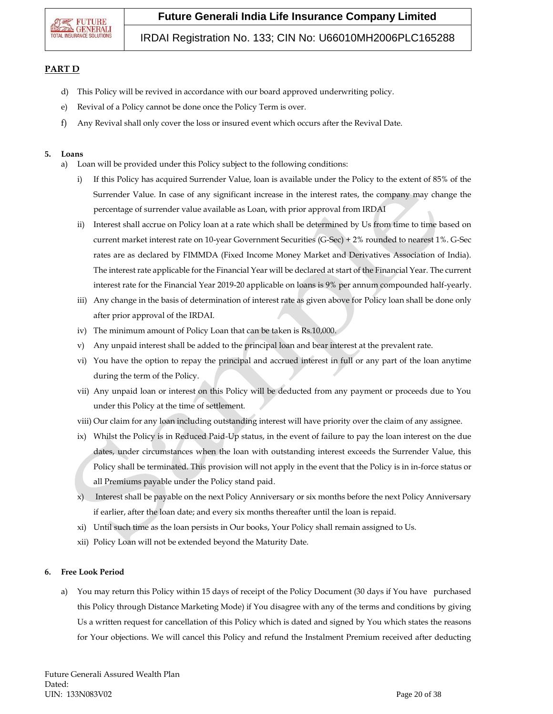

IRDAI Registration No. 133; CIN No: U66010MH2006PLC165288

### **PART D**

- d) This Policy will be revived in accordance with our board approved underwriting policy.
- e) Revival of a Policy cannot be done once the Policy Term is over.
- f) Any Revival shall only cover the loss or insured event which occurs after the Revival Date.

#### **5. Loans**

- a) Loan will be provided under this Policy subject to the following conditions:
	- i) If this Policy has acquired Surrender Value, loan is available under the Policy to the extent of 85% of the Surrender Value. In case of any significant increase in the interest rates, the company may change the percentage of surrender value available as Loan, with prior approval from IRDAI
	- ii) Interest shall accrue on Policy loan at a rate which shall be determined by Us from time to time based on current market interest rate on 10-year Government Securities (G-Sec) + 2% rounded to nearest 1%. G-Sec rates are as declared by FIMMDA (Fixed Income Money Market and Derivatives Association of India). The interest rate applicable for the Financial Year will be declared at start of the Financial Year. The current interest rate for the Financial Year 2019-20 applicable on loans is 9% per annum compounded half-yearly.
	- iii) Any change in the basis of determination of interest rate as given above for Policy loan shall be done only after prior approval of the IRDAI.
	- iv) The minimum amount of Policy Loan that can be taken is Rs.10,000.
	- v) Any unpaid interest shall be added to the principal loan and bear interest at the prevalent rate.
	- vi) You have the option to repay the principal and accrued interest in full or any part of the loan anytime during the term of the Policy.
	- vii) Any unpaid loan or interest on this Policy will be deducted from any payment or proceeds due to You under this Policy at the time of settlement.
	- viii) Our claim for any loan including outstanding interest will have priority over the claim of any assignee.
	- ix) Whilst the Policy is in Reduced Paid-Up status, in the event of failure to pay the loan interest on the due dates, under circumstances when the loan with outstanding interest exceeds the Surrender Value, this Policy shall be terminated. This provision will not apply in the event that the Policy is in in-force status or all Premiums payable under the Policy stand paid.
	- x) Interest shall be payable on the next Policy Anniversary or six months before the next Policy Anniversary if earlier, after the loan date; and every six months thereafter until the loan is repaid.
	- xi) Until such time as the loan persists in Our books, Your Policy shall remain assigned to Us.
	- xii) Policy Loan will not be extended beyond the Maturity Date.

#### **6. Free Look Period**

a) You may return this Policy within 15 days of receipt of the Policy Document (30 days if You have purchased this Policy through Distance Marketing Mode) if You disagree with any of the terms and conditions by giving Us a written request for cancellation of this Policy which is dated and signed by You which states the reasons for Your objections. We will cancel this Policy and refund the Instalment Premium received after deducting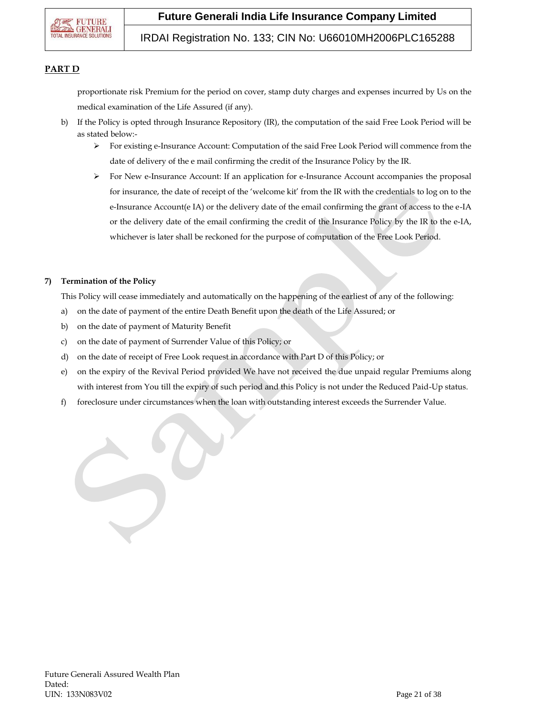

### IRDAI Registration No. 133; CIN No: U66010MH2006PLC165288

### **PART D**

proportionate risk Premium for the period on cover, stamp duty charges and expenses incurred by Us on the medical examination of the Life Assured (if any).

- b) If the Policy is opted through Insurance Repository (IR), the computation of the said Free Look Period will be as stated below:-
	- For existing e-Insurance Account: Computation of the said Free Look Period will commence from the date of delivery of the e mail confirming the credit of the Insurance Policy by the IR.
	- $\triangleright$  For New e-Insurance Account: If an application for e-Insurance Account accompanies the proposal for insurance, the date of receipt of the 'welcome kit' from the IR with the credentials to log on to the e-Insurance Account(e IA) or the delivery date of the email confirming the grant of access to the e-IA or the delivery date of the email confirming the credit of the Insurance Policy by the IR to the e-IA, whichever is later shall be reckoned for the purpose of computation of the Free Look Period.

#### **7) Termination of the Policy**

This Policy will cease immediately and automatically on the happening of the earliest of any of the following:

- a) on the date of payment of the entire Death Benefit upon the death of the Life Assured; or
- b) on the date of payment of Maturity Benefit
- c) on the date of payment of Surrender Value of this Policy; or
- d) on the date of receipt of Free Look request in accordance with Part D of this Policy; or
- e) on the expiry of the Revival Period provided We have not received the due unpaid regular Premiums along with interest from You till the expiry of such period and this Policy is not under the Reduced Paid-Up status.
- f) foreclosure under circumstances when the loan with outstanding interest exceeds the Surrender Value.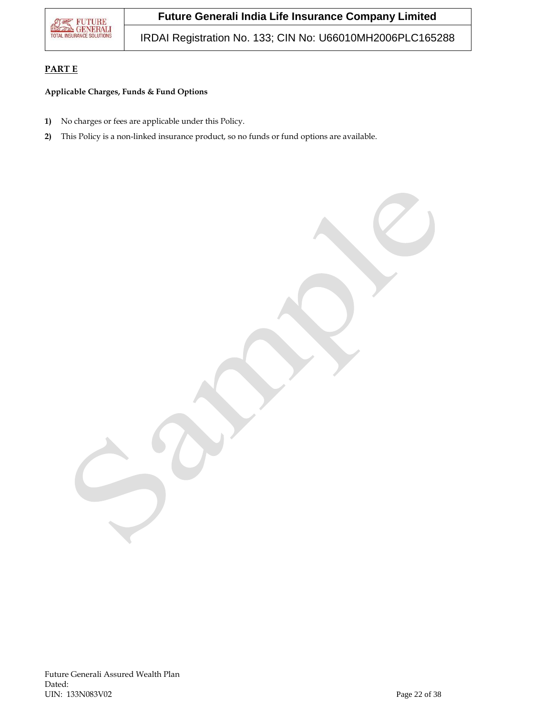

IRDAI Registration No. 133; CIN No: U66010MH2006PLC165288

### **PART E**

### **Applicable Charges, Funds & Fund Options**

- **1)** No charges or fees are applicable under this Policy.
- **2)** This Policy is a non-linked insurance product, so no funds or fund options are available.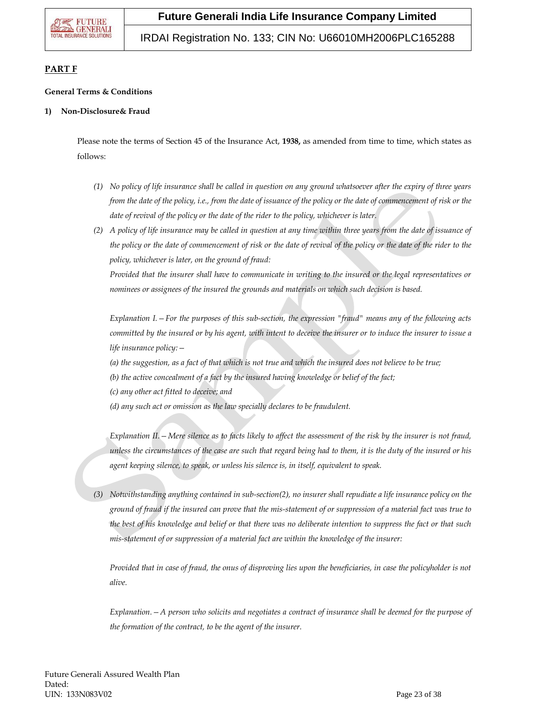IRDAI Registration No. 133; CIN No: U66010MH2006PLC165288

### **PART F**

### **General Terms & Conditions**

### **1) Non-Disclosure& Fraud**

Please note the terms of Section 45 of the Insurance Act, **1938,** as amended from time to time, which states as follows:

- *(1) No policy of life insurance shall be called in question on any ground whatsoever after the expiry of three years from the date of the policy, i.e., from the date of issuance of the policy or the date of commencement of risk or the date of revival of the policy or the date of the rider to the policy, whichever is later.*
- *(2) A policy of life insurance may be called in question at any time within three years from the date of issuance of the policy or the date of commencement of risk or the date of revival of the policy or the date of the rider to the policy, whichever is later, on the ground of fraud:*

*Provided that the insurer shall have to communicate in writing to the insured or the legal representatives or nominees or assignees of the insured the grounds and materials on which such decision is based.*

*Explanation I.—For the purposes of this sub-section, the expression "fraud" means any of the following acts committed by the insured or by his agent, with intent to deceive the insurer or to induce the insurer to issue a life insurance policy:—*

- *(a) the suggestion, as a fact of that which is not true and which the insured does not believe to be true;*
- *(b) the active concealment of a fact by the insured having knowledge or belief of the fact;*
- *(c) any other act fitted to deceive; and*
- *(d) any such act or omission as the law specially declares to be fraudulent.*

*Explanation II.—Mere silence as to facts likely to affect the assessment of the risk by the insurer is not fraud, unless the circumstances of the case are such that regard being had to them, it is the duty of the insured or his agent keeping silence, to speak, or unless his silence is, in itself, equivalent to speak.*

*(3) Notwithstanding anything contained in sub-section(2), no insurer shall repudiate a life insurance policy on the ground of fraud if the insured can prove that the mis-statement of or suppression of a material fact was true to the best of his knowledge and belief or that there was no deliberate intention to suppress the fact or that such mis-statement of or suppression of a material fact are within the knowledge of the insurer:*

*Provided that in case of fraud, the onus of disproving lies upon the beneficiaries, in case the policyholder is not alive.* 

*Explanation.—A person who solicits and negotiates a contract of insurance shall be deemed for the purpose of the formation of the contract, to be the agent of the insurer.*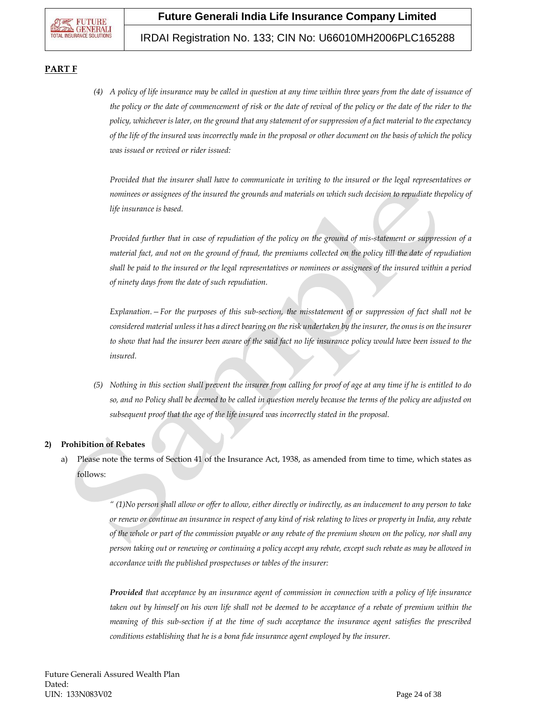### IRDAI Registration No. 133; CIN No: U66010MH2006PLC165288

### **PART F**

*(4) A policy of life insurance may be called in question at any time within three years from the date of issuance of the policy or the date of commencement of risk or the date of revival of the policy or the date of the rider to the policy, whichever is later, on the ground that any statement of or suppression of a fact material to the expectancy of the life of the insured was incorrectly made in the proposal or other document on the basis of which the policy was issued or revived or rider issued:*

*Provided that the insurer shall have to communicate in writing to the insured or the legal representatives or nominees or assignees of the insured the grounds and materials on which such decision to repudiate thepolicy of life insurance is based.*

*Provided further that in case of repudiation of the policy on the ground of mis-statement or suppression of a material fact, and not on the ground of fraud, the premiums collected on the policy till the date of repudiation shall be paid to the insured or the legal representatives or nominees or assignees of the insured within a period of ninety days from the date of such repudiation.*

*Explanation.—For the purposes of this sub-section, the misstatement of or suppression of fact shall not be considered material unless it has a direct bearing on the risk undertaken by the insurer, the onus is on the insurer*  to show that had the insurer been aware of the said fact no life insurance policy would have been issued to the *insured.*

*(5) Nothing in this section shall prevent the insurer from calling for proof of age at any time if he is entitled to do so, and no Policy shall be deemed to be called in question merely because the terms of the policy are adjusted on subsequent proof that the age of the life insured was incorrectly stated in the proposal.* 

### **2) Prohibition of Rebates**

a) Please note the terms of Section 41 of the Insurance Act, 1938, as amended from time to time, which states as follows:

> *" (1)No person shall allow or offer to allow, either directly or indirectly, as an inducement to any person to take or renew or continue an insurance in respect of any kind of risk relating to lives or property in India, any rebate of the whole or part of the commission payable or any rebate of the premium shown on the policy, nor shall any person taking out or renewing or continuing a policy accept any rebate, except such rebate as may be allowed in accordance with the published prospectuses or tables of the insurer:*

> *Provided that acceptance by an insurance agent of commission in connection with a policy of life insurance taken out by himself on his own life shall not be deemed to be acceptance of a rebate of premium within the meaning of this sub-section if at the time of such acceptance the insurance agent satisfies the prescribed conditions establishing that he is a bona fide insurance agent employed by the insurer.*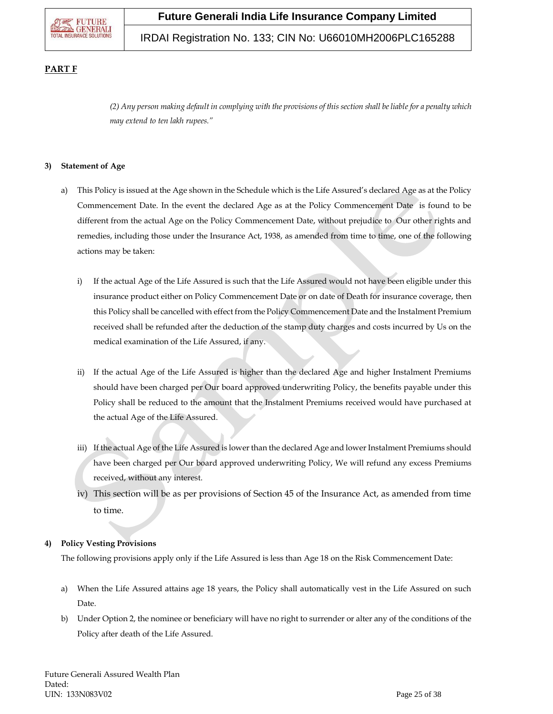### IRDAI Registration No. 133; CIN No: U66010MH2006PLC165288

### **PART F**

*(2) Any person making default in complying with the provisions of this section shall be liable for a penalty which may extend to ten lakh rupees."*

#### **3) Statement of Age**

- a) This Policy is issued at the Age shown in the Schedule which is the Life Assured's declared Age as at the Policy Commencement Date. In the event the declared Age as at the Policy Commencement Date is found to be different from the actual Age on the Policy Commencement Date, without prejudice to Our other rights and remedies, including those under the Insurance Act, 1938, as amended from time to time, one of the following actions may be taken:
	- i) If the actual Age of the Life Assured is such that the Life Assured would not have been eligible under this insurance product either on Policy Commencement Date or on date of Death for insurance coverage, then this Policy shall be cancelled with effect from the Policy Commencement Date and the Instalment Premium received shall be refunded after the deduction of the stamp duty charges and costs incurred by Us on the medical examination of the Life Assured, if any.
	- ii) If the actual Age of the Life Assured is higher than the declared Age and higher Instalment Premiums should have been charged per Our board approved underwriting Policy, the benefits payable under this Policy shall be reduced to the amount that the Instalment Premiums received would have purchased at the actual Age of the Life Assured.
	- iii) If the actual Age of the Life Assured is lower than the declared Age and lower Instalment Premiums should have been charged per Our board approved underwriting Policy, We will refund any excess Premiums received, without any interest.
	- iv) This section will be as per provisions of Section 45 of the Insurance Act, as amended from time to time.

### **4) Policy Vesting Provisions**

The following provisions apply only if the Life Assured is less than Age 18 on the Risk Commencement Date:

- a) When the Life Assured attains age 18 years, the Policy shall automatically vest in the Life Assured on such Date.
- b) Under Option 2, the nominee or beneficiary will have no right to surrender or alter any of the conditions of the Policy after death of the Life Assured.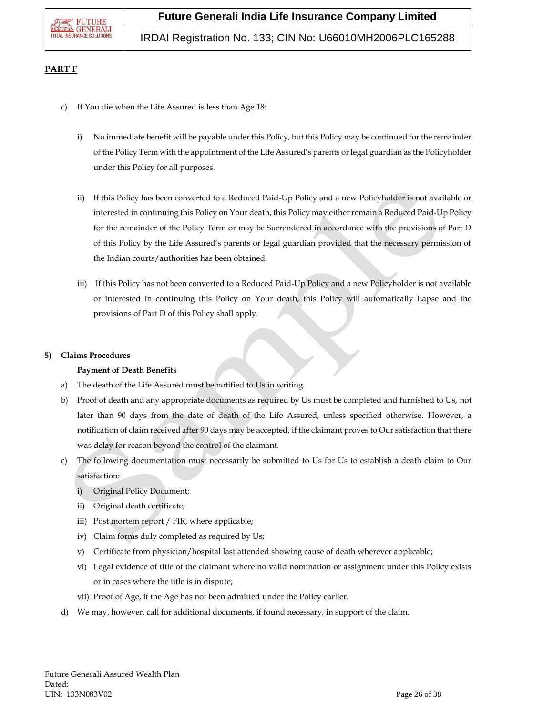

### **PART F**

- c) If You die when the Life Assured is less than Age 18:
	- i) No immediate benefit will be payable under this Policy, but this Policy may be continued for the remainder of the Policy Term with the appointment of the Life Assured's parents or legal guardian as the Policyholder under this Policy for all purposes.
	- ii) If this Policy has been converted to a Reduced Paid-Up Policy and a new Policyholder is not available or interested in continuing this Policy on Your death, this Policy may either remain a Reduced Paid-Up Policy for the remainder of the Policy Term or may be Surrendered in accordance with the provisions of Part D of this Policy by the Life Assured's parents or legal guardian provided that the necessary permission of the Indian courts/authorities has been obtained.
	- iii) If this Policy has not been converted to a Reduced Paid-Up Policy and a new Policyholder is not available or interested in continuing this Policy on Your death, this Policy will automatically Lapse and the provisions of Part D of this Policy shall apply.

### **5) Claims Procedures**

### **Payment of Death Benefits**

- a) The death of the Life Assured must be notified to Us in writing
- b) Proof of death and any appropriate documents as required by Us must be completed and furnished to Us, not later than 90 days from the date of death of the Life Assured, unless specified otherwise. However, a notification of claim received after 90 days may be accepted, if the claimant proves to Our satisfaction that there was delay for reason beyond the control of the claimant.
- c) The following documentation must necessarily be submitted to Us for Us to establish a death claim to Our satisfaction:
	- i) Original Policy Document;
	- ii) Original death certificate;
	- iii) Post mortem report / FIR, where applicable;
	- iv) Claim forms duly completed as required by Us;
	- v) Certificate from physician/hospital last attended showing cause of death wherever applicable;
	- vi) Legal evidence of title of the claimant where no valid nomination or assignment under this Policy exists or in cases where the title is in dispute;
	- vii) Proof of Age, if the Age has not been admitted under the Policy earlier.
- d) We may, however, call for additional documents, if found necessary, in support of the claim.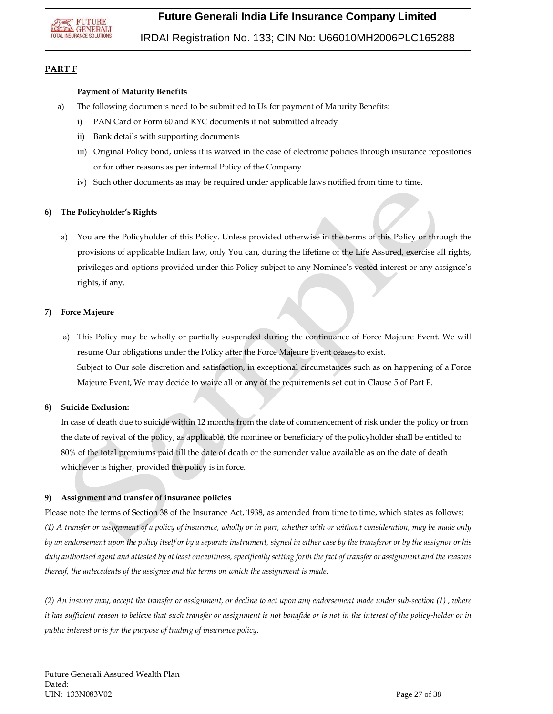

### IRDAI Registration No. 133; CIN No: U66010MH2006PLC165288

### **PART F**

#### **Payment of Maturity Benefits**

- a) The following documents need to be submitted to Us for payment of Maturity Benefits:
	- i) PAN Card or Form 60 and KYC documents if not submitted already
	- ii) Bank details with supporting documents
	- iii) Original Policy bond, unless it is waived in the case of electronic policies through insurance repositories or for other reasons as per internal Policy of the Company
	- iv) Such other documents as may be required under applicable laws notified from time to time.

#### **6) The Policyholder's Rights**

a) You are the Policyholder of this Policy. Unless provided otherwise in the terms of this Policy or through the provisions of applicable Indian law, only You can, during the lifetime of the Life Assured, exercise all rights, privileges and options provided under this Policy subject to any Nominee's vested interest or any assignee's rights, if any.

#### **7) Force Majeure**

a) This Policy may be wholly or partially suspended during the continuance of Force Majeure Event. We will resume Our obligations under the Policy after the Force Majeure Event ceases to exist. Subject to Our sole discretion and satisfaction, in exceptional circumstances such as on happening of a Force Majeure Event, We may decide to waive all or any of the requirements set out in Clause 5 of Part F.

### **8) Suicide Exclusion:**

In case of death due to suicide within 12 months from the date of commencement of risk under the policy or from the date of revival of the policy, as applicable, the nominee or beneficiary of the policyholder shall be entitled to 80% of the total premiums paid till the date of death or the surrender value available as on the date of death whichever is higher, provided the policy is in force.

### **9) Assignment and transfer of insurance policies**

Please note the terms of Section 38 of the Insurance Act, 1938, as amended from time to time, which states as follows: *(1) A transfer or assignment of a policy of insurance, wholly or in part, whether with or without consideration, may be made only by an endorsement upon the policy itself or by a separate instrument, signed in either case by the transferor or by the assignor or his duly authorised agent and attested by at least one witness, specifically setting forth the fact of transfer or assignment and the reasons thereof, the antecedents of the assignee and the terms on which the assignment is made.*

*(2) An insurer may, accept the transfer or assignment, or decline to act upon any endorsement made under sub-section (1) , where it has sufficient reason to believe that such transfer or assignment is not bonafide or is not in the interest of the policy-holder or in public interest or is for the purpose of trading of insurance policy.*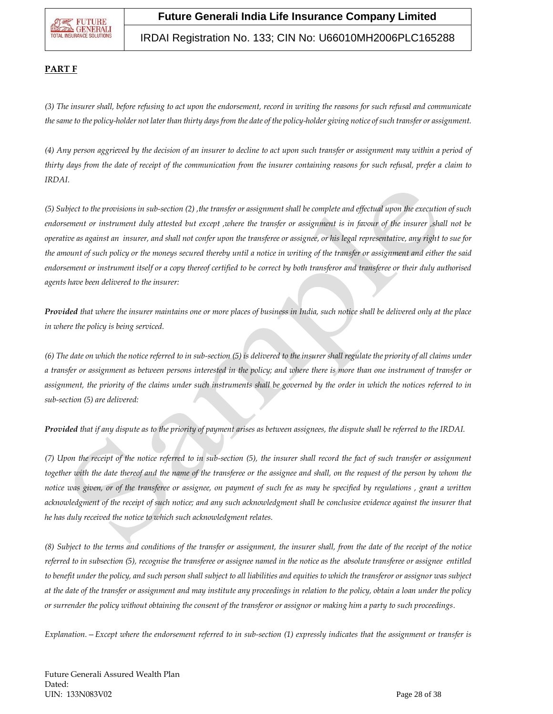

### IRDAI Registration No. 133; CIN No: U66010MH2006PLC165288

### **PART F**

*(3) The insurer shall, before refusing to act upon the endorsement, record in writing the reasons for such refusal and communicate the same to the policy-holder not later than thirty days from the date of the policy-holder giving notice of such transfer or assignment.*

*(4) Any person aggrieved by the decision of an insurer to decline to act upon such transfer or assignment may within a period of thirty days from the date of receipt of the communication from the insurer containing reasons for such refusal, prefer a claim to IRDAI.*

*(5) Subject to the provisions in sub-section (2) ,the transfer or assignment shall be complete and effectual upon the execution of such endorsement or instrument duly attested but except ,where the transfer or assignment is in favour of the insurer ,shall not be operative as against an insurer, and shall not confer upon the transferee or assignee, or his legal representative, any right to sue for the amount of such policy or the moneys secured thereby until a notice in writing of the transfer or assignment and either the said endorsement or instrument itself or a copy thereof certified to be correct by both transferor and transferee or their duly authorised agents have been delivered to the insurer:*

*Provided that where the insurer maintains one or more places of business in India, such notice shall be delivered only at the place in where the policy is being serviced.*

*(6) The date on which the notice referred to in sub-section (5) is delivered to the insurer shall regulate the priority of all claims under a transfer or assignment as between persons interested in the policy; and where there is more than one instrument of transfer or assignment, the priority of the claims under such instruments shall be governed by the order in which the notices referred to in sub-section (5) are delivered:*

*Provided that if any dispute as to the priority of payment arises as between assignees, the dispute shall be referred to the IRDAI.*

*(7) Upon the receipt of the notice referred to in sub-section (5), the insurer shall record the fact of such transfer or assignment together with the date thereof and the name of the transferee or the assignee and shall, on the request of the person by whom the notice was given, or of the transferee or assignee, on payment of such fee as may be specified by regulations , grant a written*  acknowledgment of the receipt of such notice; and any such acknowledgment shall be conclusive evidence against the insurer that *he has duly received the notice to which such acknowledgment relates.*

*(8) Subject to the terms and conditions of the transfer or assignment, the insurer shall, from the date of the receipt of the notice referred to in subsection (5), recognise the transferee or assignee named in the notice as the absolute transferee or assignee entitled to benefit under the policy, and such person shall subject to all liabilities and equities to which the transferor or assignor was subject at the date of the transfer or assignment and may institute any proceedings in relation to the policy, obtain a loan under the policy or surrender the policy without obtaining the consent of the transferor or assignor or making him a party to such proceedings.*

*Explanation.—Except where the endorsement referred to in sub-section (1) expressly indicates that the assignment or transfer is*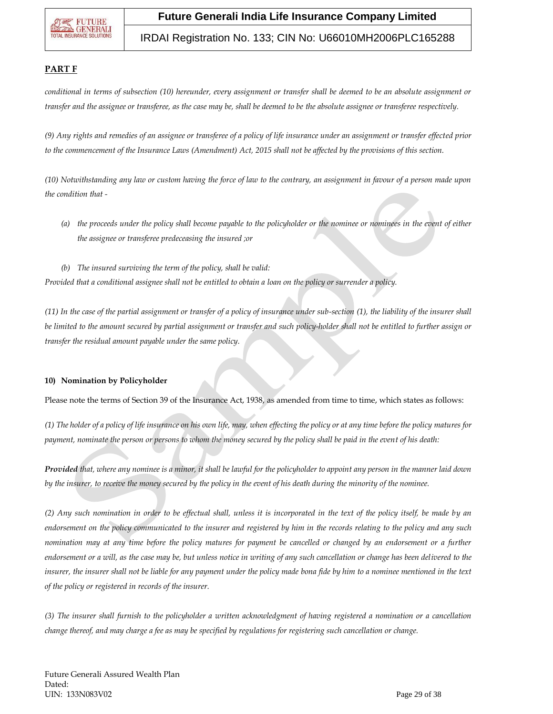

### IRDAI Registration No. 133; CIN No: U66010MH2006PLC165288

### **PART F**

*conditional in terms of subsection (10) hereunder, every assignment or transfer shall be deemed to be an absolute assignment or transfer and the assignee or transferee, as the case may be, shall be deemed to be the absolute assignee or transferee respectively.*

*(9) Any rights and remedies of an assignee or transferee of a policy of life insurance under an assignment or transfer effected prior*  to the commencement of the Insurance Laws (Amendment) Act, 2015 shall not be affected by the provisions of this section.

*(10) Notwithstanding any law or custom having the force of law to the contrary, an assignment in favour of a person made upon the condition that -*

- *(a) the proceeds under the policy shall become payable to the policyholder or the nominee or nominees in the event of either the assignee or transferee predeceasing the insured ;or*
- *(b) The insured surviving the term of the policy, shall be valid:*

*Provided that a conditional assignee shall not be entitled to obtain a loan on the policy or surrender a policy.*

*(11) In the case of the partial assignment or transfer of a policy of insurance under sub-section (1), the liability of the insurer shall be limited to the amount secured by partial assignment or transfer and such policy-holder shall not be entitled to further assign or transfer the residual amount payable under the same policy.*

### **10) Nomination by Policyholder**

Please note the terms of Section 39 of the Insurance Act, 1938, as amended from time to time, which states as follows:

*(1) The holder of a policy of life insurance on his own life, may, when effecting the policy or at any time before the policy matures for payment, nominate the person or persons to whom the money secured by the policy shall be paid in the event of his death:*

*Provided that, where any nominee is a minor, it shall be lawful for the policyholder to appoint any person in the manner laid down by the insurer, to receive the money secured by the policy in the event of his death during the minority of the nominee.*

*(2) Any such nomination in order to be effectual shall, unless it is incorporated in the text of the policy itself, be made by an endorsement on the policy communicated to the insurer and registered by him in the records relating to the policy and any such nomination may at any time before the policy matures for payment be cancelled or changed by an endorsement or a further endorsement or a will, as the case may be, but unless notice in writing of any such cancellation or change has been delivered to the insurer, the insurer shall not be liable for any payment under the policy made bona fide by him to a nominee mentioned in the text of the policy or registered in records of the insurer.*

*(3) The insurer shall furnish to the policyholder a written acknowledgment of having registered a nomination or a cancellation change thereof, and may charge a fee as may be specified by regulations for registering such cancellation or change.*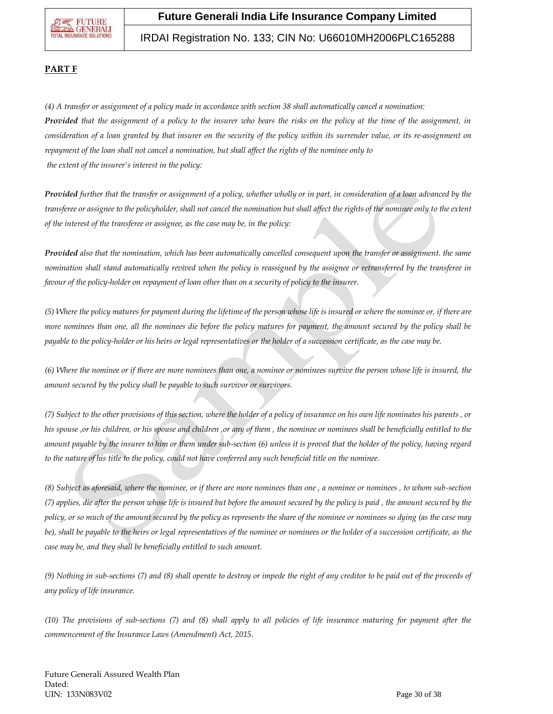## IRDAI Registration No. 133; CIN No: U66010MH2006PLC165288

### **PART F**

*(4) A transfer or assignment of a policy made in accordance with section 38 shall automatically cancel a nomination: Provided that the assignment of a policy to the insurer who bears the risks on the policy at the time of the assignment, in consideration of a loan granted by that insurer on the security of the policy within its surrender value, or its re-assignment on repayment of the loan shall not cancel a nomination, but shall affect the rights of the nominee only to the extent of the insurer's interest in the policy:*

*Provided further that the transfer or assignment of a policy, whether wholly or in part, in consideration of a loan advanced by the transferee or assignee to the policyholder, shall not cancel the nomination but shall affect the rights of the nominee only to the extent of the interest of the transferee or assignee, as the case may be, in the policy:*

*Provided also that the nomination, which has been automatically cancelled consequent upon the transfer or assignment. the same nomination shall stand automatically revived when the policy is reassigned by the assignee or retransferred by the transferee in favour of the policy-holder on repayment of loan other than on a security of policy to the insurer.*

*(5) Where the policy matures for payment during the lifetime of the person whose life is insured or where the nominee or, if there are more nominees than one, all the nominees die before the policy matures for payment, the amount secured by the policy shall be payable to the policy-holder or his heirs or legal representatives or the holder of a succession certificate, as the case may be.*

*(6) Where the nominee or if there are more nominees than one, a nominee or nominees survive the person whose life is insured, the amount secured by the policy shall be payable to such survivor or survivors.*

*(7) Subject to the other provisions of this section, where the holder of a policy of insurance on his own life nominates his parents , or his spouse ,or his children, or his spouse and children ,or any of them , the nominee or nominees shall be beneficially entitled to the amount payable by the insurer to him or them under sub-section (6) unless it is proved that the holder of the policy, having regard to the nature of his title to the policy, could not have conferred any such beneficial title on the nominee.*

*(8) Subject as aforesaid, where the nominee, or if there are more nominees than one , a nominee or nominees , to whom sub-section (7) applies, die after the person whose life is insured but before the amount secured by the policy is paid , the amount secured by the policy, or so much of the amount secured by the policy as represents the share of the nominee or nominees so dying (as the case may be), shall be payable to the heirs or legal representatives of the nominee or nominees or the holder of a succession certificate, as the case may be, and they shall be beneficially entitled to such amount.*

*(9) Nothing in sub-sections (7) and (8) shall operate to destroy or impede the right of any creditor to be paid out of the proceeds of any policy of life insurance.*

*(10) The provisions of sub-sections (7) and (8) shall apply to all policies of life insurance maturing for payment after the commencement of the Insurance Laws (Amendment) Act, 2015.*

Future Generali Assured Wealth Plan Dated: UIN: 133N083V02 Page 30 of 38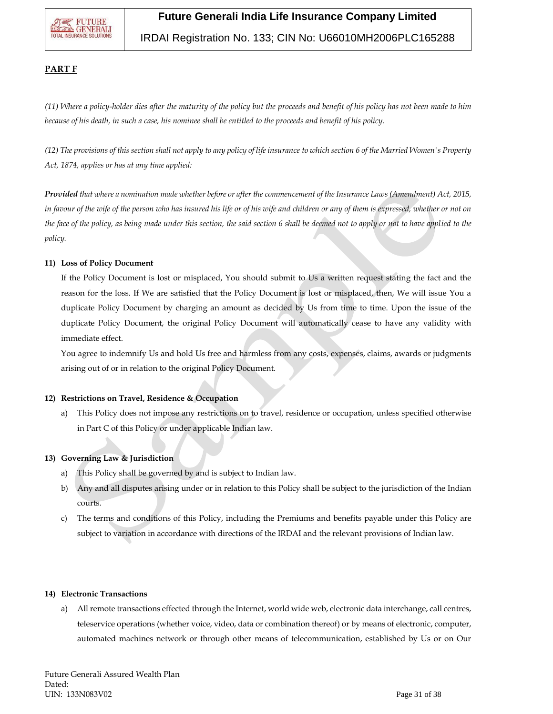### IRDAI Registration No. 133; CIN No: U66010MH2006PLC165288

### **PART F**

*(11) Where a policy-holder dies after the maturity of the policy but the proceeds and benefit of his policy has not been made to him because of his death, in such a case, his nominee shall be entitled to the proceeds and benefit of his policy.*

*(12) The provisions of this section shall not apply to any policy of life insurance to which section 6 of the Married Women's Property Act, 1874, applies or has at any time applied:*

*Provided that where a nomination made whether before or after the commencement of the Insurance Laws (Amendment) Act, 2015,*  in favour of the wife of the person who has insured his life or of his wife and children or any of them is expressed, whether or not on *the face of the policy, as being made under this section, the said section 6 shall be deemed not to apply or not to have applied to the policy.*

### **11) Loss of Policy Document**

If the Policy Document is lost or misplaced, You should submit to Us a written request stating the fact and the reason for the loss. If We are satisfied that the Policy Document is lost or misplaced, then, We will issue You a duplicate Policy Document by charging an amount as decided by Us from time to time. Upon the issue of the duplicate Policy Document, the original Policy Document will automatically cease to have any validity with immediate effect.

You agree to indemnify Us and hold Us free and harmless from any costs, expenses, claims, awards or judgments arising out of or in relation to the original Policy Document.

### **12) Restrictions on Travel, Residence & Occupation**

a) This Policy does not impose any restrictions on to travel, residence or occupation, unless specified otherwise in Part C of this Policy or under applicable Indian law.

### **13) Governing Law & Jurisdiction**

- a) This Policy shall be governed by and is subject to Indian law.
- b) Any and all disputes arising under or in relation to this Policy shall be subject to the jurisdiction of the Indian courts.
- c) The terms and conditions of this Policy, including the Premiums and benefits payable under this Policy are subject to variation in accordance with directions of the IRDAI and the relevant provisions of Indian law.

#### **14) Electronic Transactions**

a) All remote transactions effected through the Internet, world wide web, electronic data interchange, call centres, teleservice operations (whether voice, video, data or combination thereof) or by means of electronic, computer, automated machines network or through other means of telecommunication, established by Us or on Our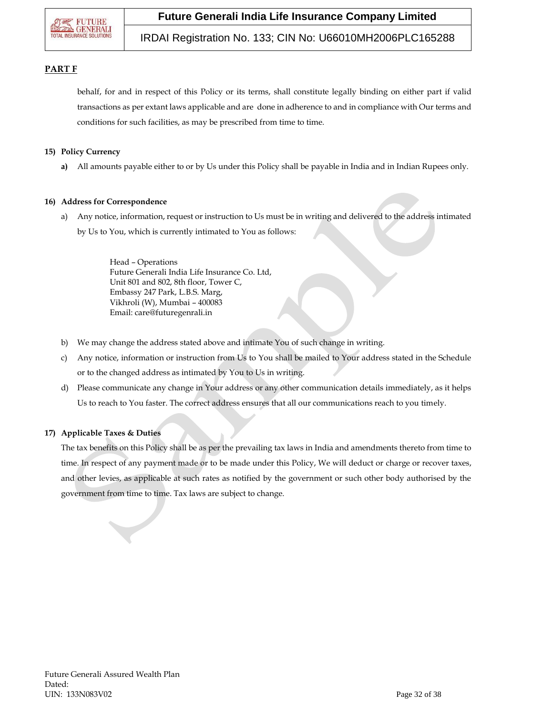

IRDAI Registration No. 133; CIN No: U66010MH2006PLC165288

### **PART F**

behalf, for and in respect of this Policy or its terms, shall constitute legally binding on either part if valid transactions as per extant laws applicable and are done in adherence to and in compliance with Our terms and conditions for such facilities, as may be prescribed from time to time.

### **15) Policy Currency**

**a)** All amounts payable either to or by Us under this Policy shall be payable in India and in Indian Rupees only.

### **16) Address for Correspondence**

a) Any notice, information, request or instruction to Us must be in writing and delivered to the address intimated by Us to You, which is currently intimated to You as follows:

> Head – Operations Future Generali India Life Insurance Co. Ltd, Unit 801 and 802, 8th floor, Tower C, Embassy 247 Park, L.B.S. Marg, Vikhroli (W), Mumbai – 400083 Email: care@futuregenrali.in

- b) We may change the address stated above and intimate You of such change in writing.
- c) Any notice, information or instruction from Us to You shall be mailed to Your address stated in the Schedule or to the changed address as intimated by You to Us in writing.
- d) Please communicate any change in Your address or any other communication details immediately, as it helps Us to reach to You faster. The correct address ensures that all our communications reach to you timely.

### **17) Applicable Taxes & Duties**

The tax benefits on this Policy shall be as per the prevailing tax laws in India and amendments thereto from time to time. In respect of any payment made or to be made under this Policy, We will deduct or charge or recover taxes, and other levies, as applicable at such rates as notified by the government or such other body authorised by the government from time to time. Tax laws are subject to change.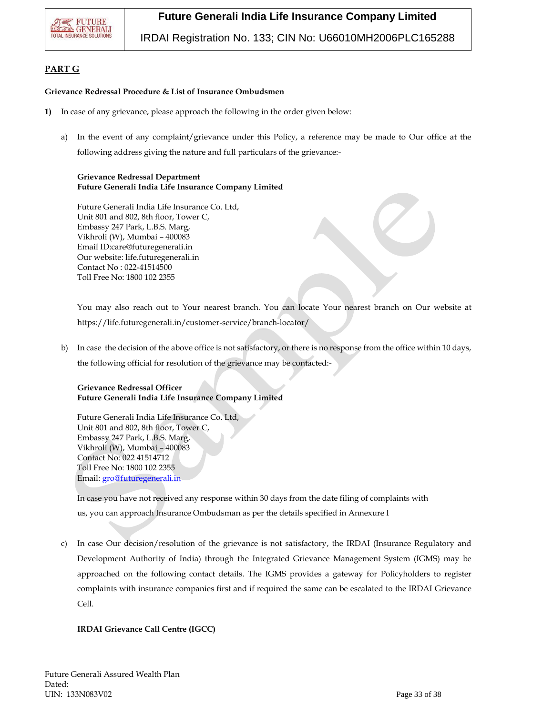

IRDAI Registration No. 133; CIN No: U66010MH2006PLC165288

### **PART G**

#### **Grievance Redressal Procedure & List of Insurance Ombudsmen**

- **1)** In case of any grievance, please approach the following in the order given below:
	- a) In the event of any complaint/grievance under this Policy, a reference may be made to Our office at the following address giving the nature and full particulars of the grievance:-

#### **Grievance Redressal Department Future Generali India Life Insurance Company Limited**

Future Generali India Life Insurance Co. Ltd, Unit 801 and 802, 8th floor, Tower C, Embassy 247 Park, L.B.S. Marg, Vikhroli (W), Mumbai – 400083 Email ID:care@futuregenerali.in Our website: [life.futuregenerali.in](http://www.futuregenerali.in/) Contact No : 022-41514500 Toll Free No: 1800 102 2355

You may also reach out to Your nearest branch. You can locate Your nearest branch on Our website at https://life.futuregenerali.in/customer-service/branch-locator/

b) In case the decision of the above office is not satisfactory, or there is no response from the office within 10 days, the following official for resolution of the grievance may be contacted:-

### **Grievance Redressal Officer Future Generali India Life Insurance Company Limited**

Future Generali India Life Insurance Co. Ltd, Unit 801 and 802, 8th floor, Tower C, Embassy 247 Park, L.B.S. Marg, Vikhroli (W), Mumbai – 400083 Contact No: 022 41514712 Toll Free No: 1800 102 2355 Email[: gro@futuregenerali.in](mailto:gro@futuregenerali.in)

In case you have not received any response within 30 days from the date filing of complaints with us, you can approach Insurance Ombudsman as per the details specified in Annexure I

c) In case Our decision/resolution of the grievance is not satisfactory, the IRDAI (Insurance Regulatory and Development Authority of India) through the Integrated Grievance Management System (IGMS) may be approached on the following contact details. The IGMS provides a gateway for Policyholders to register complaints with insurance companies first and if required the same can be escalated to the IRDAI Grievance Cell.

### **IRDAI Grievance Call Centre (IGCC)**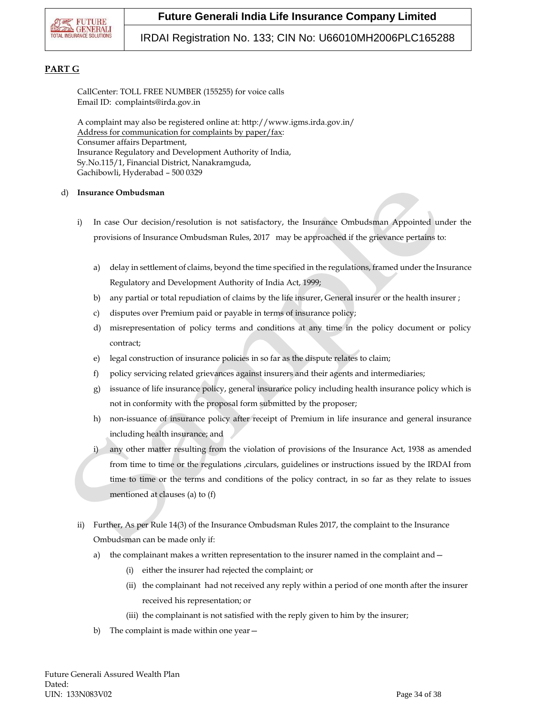

### IRDAI Registration No. 133; CIN No: U66010MH2006PLC165288

### **PART G**

CallCenter: TOLL FREE NUMBER (155255) for voice calls Email ID: complaints@irda.gov.in

A complaint may also be registered online at: http://www.igms.irda.gov.in/ Address for communication for complaints by paper/fax: Consumer affairs Department, Insurance Regulatory and Development Authority of India, Sy.No.115/1, Financial District, Nanakramguda, Gachibowli, Hyderabad – 500 0329

#### d) **Insurance Ombudsman**

- i) In case Our decision/resolution is not satisfactory, the Insurance Ombudsman Appointed under the provisions of Insurance Ombudsman Rules, 2017 may be approached if the grievance pertains to:
	- a) delay in settlement of claims, beyond the time specified in the regulations, framed under the Insurance Regulatory and Development Authority of India Act, 1999;
	- b) any partial or total repudiation of claims by the life insurer, General insurer or the health insurer ;
	- c) disputes over Premium paid or payable in terms of insurance policy;
	- d) misrepresentation of policy terms and conditions at any time in the policy document or policy contract;
	- e) legal construction of insurance policies in so far as the dispute relates to claim;
	- f) policy servicing related grievances against insurers and their agents and intermediaries;
	- g) issuance of life insurance policy, general insurance policy including health insurance policy which is not in conformity with the proposal form submitted by the proposer;
	- h) non-issuance of insurance policy after receipt of Premium in life insurance and general insurance including health insurance; and
	- i) any other matter resulting from the violation of provisions of the Insurance Act, 1938 as amended from time to time or the regulations ,circulars, guidelines or instructions issued by the IRDAI from time to time or the terms and conditions of the policy contract, in so far as they relate to issues mentioned at clauses (a) to (f)
- ii) Further, As per Rule 14(3) of the Insurance Ombudsman Rules 2017, the complaint to the Insurance Ombudsman can be made only if:
	- a) the complainant makes a written representation to the insurer named in the complaint and -
		- (i) either the insurer had rejected the complaint; or
		- (ii) the complainant had not received any reply within a period of one month after the insurer received his representation; or
		- (iii) the complainant is not satisfied with the reply given to him by the insurer;
	- b) The complaint is made within one year—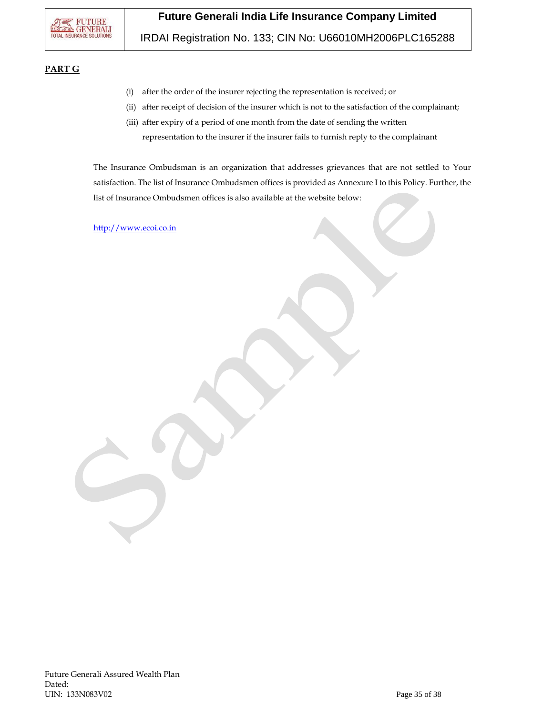IRDAI Registration No. 133; CIN No: U66010MH2006PLC165288

### **PART G**

- (i) after the order of the insurer rejecting the representation is received; or
- (ii) after receipt of decision of the insurer which is not to the satisfaction of the complainant;
- (iii) after expiry of a period of one month from the date of sending the written representation to the insurer if the insurer fails to furnish reply to the complainant

The Insurance Ombudsman is an organization that addresses grievances that are not settled to Your satisfaction. The list of Insurance Ombudsmen offices is provided as Annexure I to this Policy. Further, the list of Insurance Ombudsmen offices is also available at the website below:

[http://www.ecoi.co.in](http://www.ecoi.co.in/)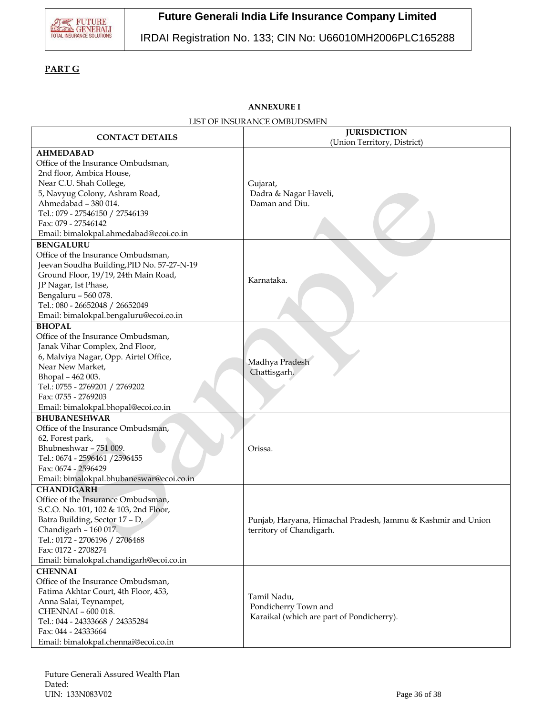

## IRDAI Registration No. 133; CIN No: U66010MH2006PLC165288

### **PART G**

### **ANNEXURE I**

#### LIST OF INSURANCE OMBUDSMEN

| <b>CONTACT DETAILS</b>                                                                                                                                                                                                                                                    | <b>JURISDICTION</b>                                                                      |  |  |  |
|---------------------------------------------------------------------------------------------------------------------------------------------------------------------------------------------------------------------------------------------------------------------------|------------------------------------------------------------------------------------------|--|--|--|
|                                                                                                                                                                                                                                                                           | (Union Territory, District)                                                              |  |  |  |
| <b>AHMEDABAD</b><br>Office of the Insurance Ombudsman,<br>2nd floor, Ambica House,<br>Near C.U. Shah College,<br>5, Navyug Colony, Ashram Road,<br>Ahmedabad - 380 014.<br>Tel.: 079 - 27546150 / 27546139<br>Fax: 079 - 27546142                                         | Gujarat,<br>Dadra & Nagar Haveli,<br>Daman and Diu.                                      |  |  |  |
| Email: bimalokpal.ahmedabad@ecoi.co.in                                                                                                                                                                                                                                    |                                                                                          |  |  |  |
| <b>BENGALURU</b><br>Office of the Insurance Ombudsman,<br>Jeevan Soudha Building, PID No. 57-27-N-19<br>Ground Floor, 19/19, 24th Main Road,<br>JP Nagar, Ist Phase,<br>Bengaluru - 560 078.<br>Tel.: 080 - 26652048 / 26652049<br>Email: bimalokpal.bengaluru@ecoi.co.in | Karnataka.                                                                               |  |  |  |
| <b>BHOPAL</b>                                                                                                                                                                                                                                                             |                                                                                          |  |  |  |
| Office of the Insurance Ombudsman,<br>Janak Vihar Complex, 2nd Floor,<br>6, Malviya Nagar, Opp. Airtel Office,<br>Near New Market,<br>Bhopal - 462 003.<br>Tel.: 0755 - 2769201 / 2769202<br>Fax: 0755 - 2769203                                                          | Madhya Pradesh<br>Chattisgarh.                                                           |  |  |  |
| Email: bimalokpal.bhopal@ecoi.co.in                                                                                                                                                                                                                                       |                                                                                          |  |  |  |
| <b>BHUBANESHWAR</b><br>Office of the Insurance Ombudsman,<br>62, Forest park,<br>Bhubneshwar - 751 009.<br>Tel.: 0674 - 2596461 / 2596455<br>Fax: 0674 - 2596429<br>Email: bimalokpal.bhubaneswar@ecoi.co.in                                                              | Orissa.                                                                                  |  |  |  |
| <b>CHANDIGARH</b><br>Office of the Insurance Ombudsman,<br>S.C.O. No. 101, 102 & 103, 2nd Floor,<br>Batra Building, Sector 17 - D,<br>Chandigarh - 160 017.<br>Tel.: 0172 - 2706196 / 2706468<br>Fax: 0172 - 2708274<br>Email: bimalokpal.chandigarh@ecoi.co.in           | Punjab, Haryana, Himachal Pradesh, Jammu & Kashmir and Union<br>territory of Chandigarh. |  |  |  |
| <b>CHENNAI</b><br>Office of the Insurance Ombudsman,<br>Fatima Akhtar Court, 4th Floor, 453,<br>Anna Salai, Teynampet,<br>CHENNAI - 600 018.<br>Tel.: 044 - 24333668 / 24335284<br>Fax: 044 - 24333664<br>Email: bimalokpal.chennai@ecoi.co.in                            | Tamil Nadu,<br>Pondicherry Town and<br>Karaikal (which are part of Pondicherry).         |  |  |  |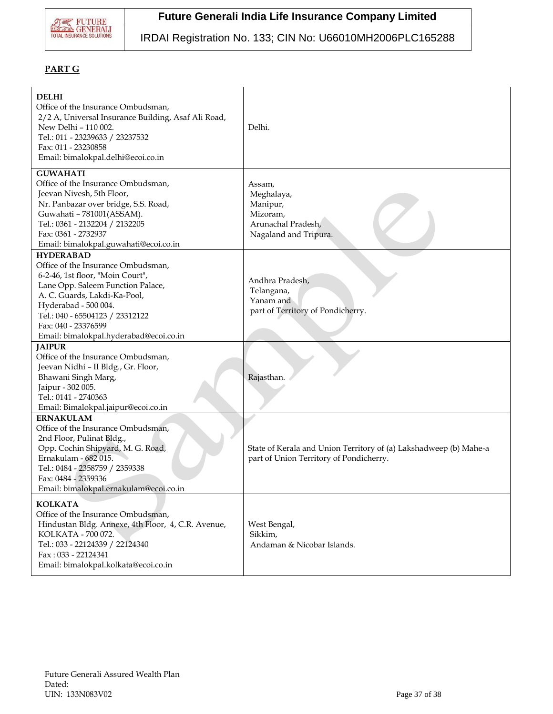

## IRDAI Registration No. 133; CIN No: U66010MH2006PLC165288

### **PART G**

| <b>DELHI</b><br>Office of the Insurance Ombudsman,<br>2/2 A, Universal Insurance Building, Asaf Ali Road,<br>New Delhi - 110 002.<br>Tel.: 011 - 23239633 / 23237532<br>Fax: 011 - 23230858<br>Email: bimalokpal.delhi@ecoi.co.in                                                           | Delhi.                                                                                                       |
|---------------------------------------------------------------------------------------------------------------------------------------------------------------------------------------------------------------------------------------------------------------------------------------------|--------------------------------------------------------------------------------------------------------------|
| <b>GUWAHATI</b><br>Office of the Insurance Ombudsman,<br>Jeevan Nivesh, 5th Floor,<br>Nr. Panbazar over bridge, S.S. Road,<br>Guwahati - 781001(ASSAM).<br>Tel.: 0361 - 2132204 / 2132205<br>Fax: 0361 - 2732937<br>Email: bimalokpal.guwahati@ecoi.co.in                                   | Assam,<br>Meghalaya,<br>Manipur,<br>Mizoram,<br>Arunachal Pradesh,<br>Nagaland and Tripura.                  |
| <b>HYDERABAD</b><br>Office of the Insurance Ombudsman,<br>6-2-46, 1st floor, "Moin Court",<br>Lane Opp. Saleem Function Palace,<br>A. C. Guards, Lakdi-Ka-Pool,<br>Hyderabad - 500 004.<br>Tel.: 040 - 65504123 / 23312122<br>Fax: 040 - 23376599<br>Email: bimalokpal.hyderabad@ecoi.co.in | Andhra Pradesh,<br>Telangana,<br>Yanam and<br>part of Territory of Pondicherry.                              |
| <b>JAIPUR</b><br>Office of the Insurance Ombudsman,<br>Jeevan Nidhi - II Bldg., Gr. Floor,<br>Bhawani Singh Marg,<br>Jaipur - 302 005.<br>Tel.: 0141 - 2740363<br>Email: Bimalokpal.jaipur@ecoi.co.in                                                                                       | Rajasthan.                                                                                                   |
| <b>ERNAKULAM</b><br>Office of the Insurance Ombudsman,<br>2nd Floor, Pulinat Bldg.,<br>Opp. Cochin Shipyard, M. G. Road,<br>Ernakulam - 682 015.<br>Tel.: 0484 - 2358759 / 2359338<br>Fax: 0484 - 2359336<br>Email: bimalokpal.ernakulam@ecoi.co.in                                         | State of Kerala and Union Territory of (a) Lakshadweep (b) Mahe-a<br>part of Union Territory of Pondicherry. |
| <b>KOLKATA</b><br>Office of the Insurance Ombudsman,<br>Hindustan Bldg. Annexe, 4th Floor, 4, C.R. Avenue,<br>KOLKATA - 700 072.<br>Tel.: 033 - 22124339 / 22124340<br>Fax: 033 - 22124341<br>Email: bimalokpal.kolkata@ecoi.co.in                                                          | West Bengal,<br>Sikkim,<br>Andaman & Nicobar Islands.                                                        |